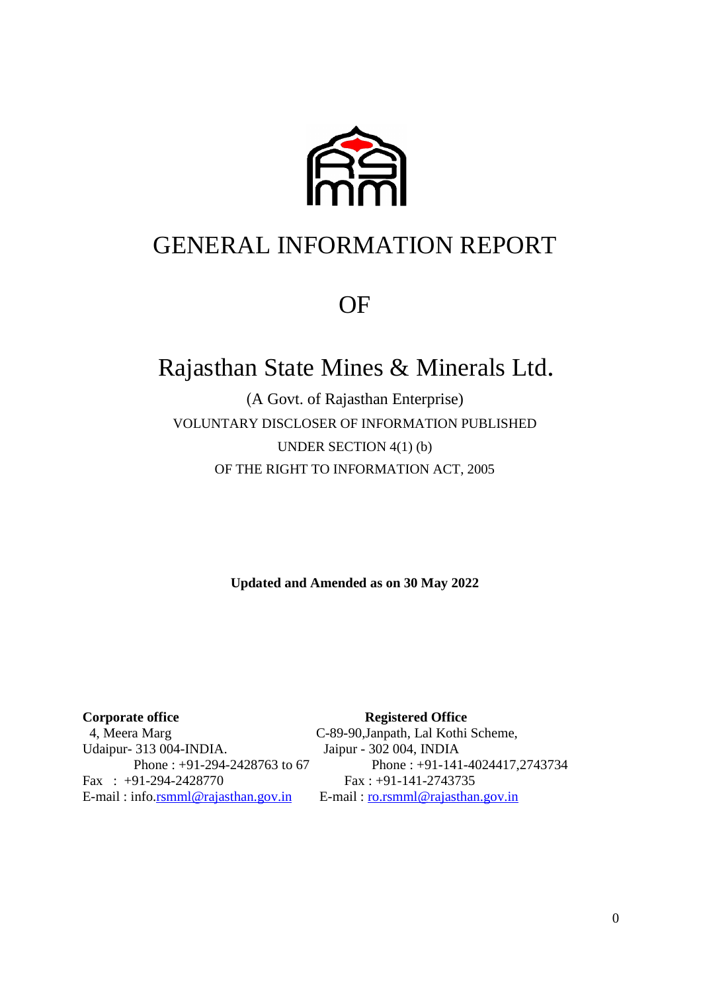

# GENERAL INFORMATION REPORT

OF

# Rajasthan State Mines & Minerals Ltd.

(A Govt. of Rajasthan Enterprise) VOLUNTARY DISCLOSER OF INFORMATION PUBLISHED UNDER SECTION 4(1) (b) OF THE RIGHT TO INFORMATION ACT, 2005

**Updated and Amended as on 30 May 2022** 

 4, Meera Marg C-89-90,Janpath, Lal Kothi Scheme, Udaipur- 313 004-INDIA. Jaipur - 302 004, INDIA Fax : +91-294-2428770 Fax : +91-141-2743735 E-mail : info.rsmml@rajasthan.gov.in E-mail : ro.rsmml@rajasthan.gov.in

#### **Corporate office Server Access Property Registered Office**

Phone : +91-294-2428763 to 67 Phone : +91-141-4024417,2743734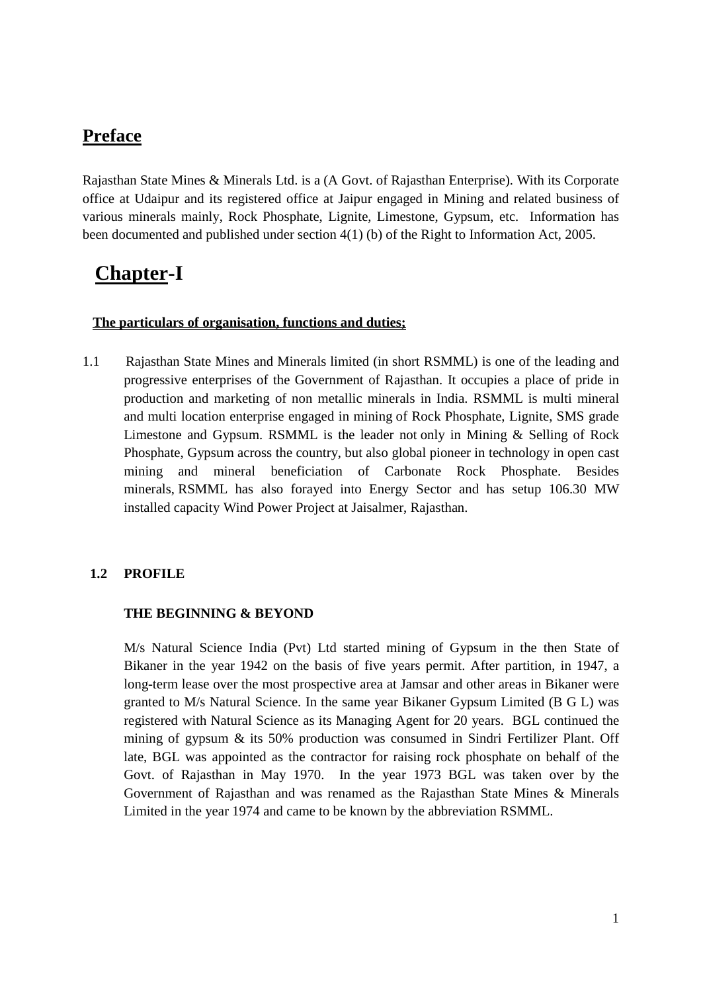### **Preface**

Rajasthan State Mines & Minerals Ltd. is a (A Govt. of Rajasthan Enterprise). With its Corporate office at Udaipur and its registered office at Jaipur engaged in Mining and related business of various minerals mainly, Rock Phosphate, Lignite, Limestone, Gypsum, etc. Information has been documented and published under section 4(1) (b) of the Right to Information Act, 2005.

### **Chapter-I**

#### **The particulars of organisation, functions and duties;**

1.1 Rajasthan State Mines and Minerals limited (in short RSMML) is one of the leading and progressive enterprises of the Government of Rajasthan. It occupies a place of pride in production and marketing of non metallic minerals in India. RSMML is multi mineral and multi location enterprise engaged in mining of Rock Phosphate, Lignite, SMS grade Limestone and Gypsum. RSMML is the leader not only in Mining & Selling of Rock Phosphate, Gypsum across the country, but also global pioneer in technology in open cast mining and mineral beneficiation of Carbonate Rock Phosphate. Besides minerals, RSMML has also forayed into Energy Sector and has setup 106.30 MW installed capacity Wind Power Project at Jaisalmer, Rajasthan.

#### **1.2 PROFILE**

#### **THE BEGINNING & BEYOND**

M/s Natural Science India (Pvt) Ltd started mining of Gypsum in the then State of Bikaner in the year 1942 on the basis of five years permit. After partition, in 1947, a long-term lease over the most prospective area at Jamsar and other areas in Bikaner were granted to M/s Natural Science. In the same year Bikaner Gypsum Limited (B G L) was registered with Natural Science as its Managing Agent for 20 years. BGL continued the mining of gypsum & its 50% production was consumed in Sindri Fertilizer Plant. Off late, BGL was appointed as the contractor for raising rock phosphate on behalf of the Govt. of Rajasthan in May 1970. In the year 1973 BGL was taken over by the Government of Rajasthan and was renamed as the Rajasthan State Mines & Minerals Limited in the year 1974 and came to be known by the abbreviation RSMML.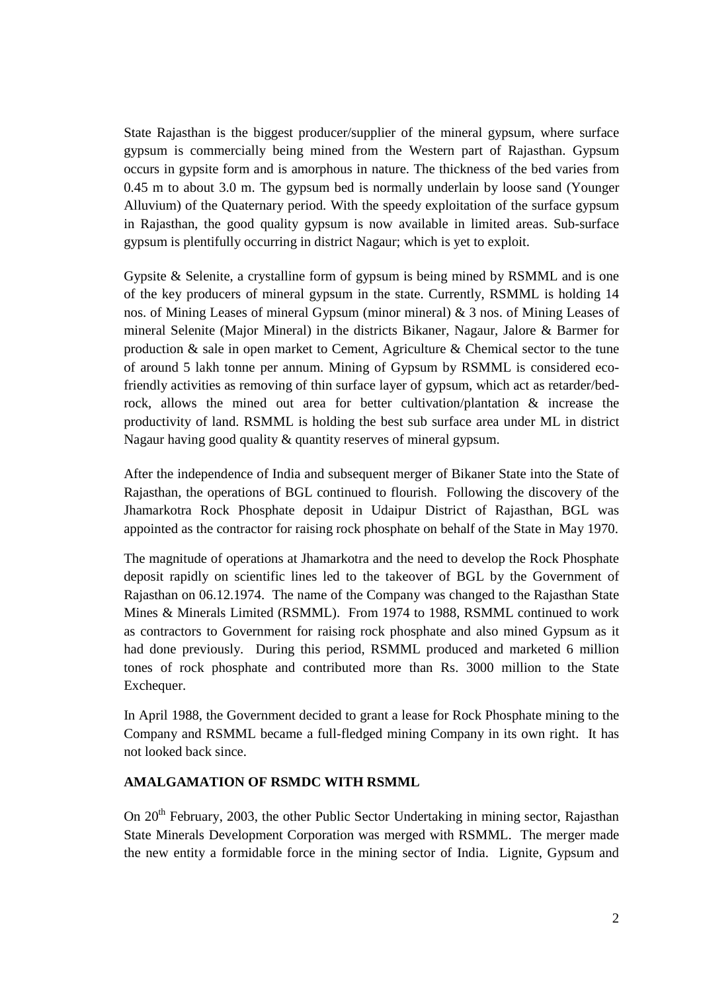State Rajasthan is the biggest producer/supplier of the mineral gypsum, where surface gypsum is commercially being mined from the Western part of Rajasthan. Gypsum occurs in gypsite form and is amorphous in nature. The thickness of the bed varies from 0.45 m to about 3.0 m. The gypsum bed is normally underlain by loose sand (Younger Alluvium) of the Quaternary period. With the speedy exploitation of the surface gypsum in Rajasthan, the good quality gypsum is now available in limited areas. Sub-surface gypsum is plentifully occurring in district Nagaur; which is yet to exploit.

Gypsite & Selenite, a crystalline form of gypsum is being mined by RSMML and is one of the key producers of mineral gypsum in the state. Currently, RSMML is holding 14 nos. of Mining Leases of mineral Gypsum (minor mineral) & 3 nos. of Mining Leases of mineral Selenite (Major Mineral) in the districts Bikaner, Nagaur, Jalore & Barmer for production & sale in open market to Cement, Agriculture & Chemical sector to the tune of around 5 lakh tonne per annum. Mining of Gypsum by RSMML is considered ecofriendly activities as removing of thin surface layer of gypsum, which act as retarder/bedrock, allows the mined out area for better cultivation/plantation & increase the productivity of land. RSMML is holding the best sub surface area under ML in district Nagaur having good quality & quantity reserves of mineral gypsum.

After the independence of India and subsequent merger of Bikaner State into the State of Rajasthan, the operations of BGL continued to flourish. Following the discovery of the Jhamarkotra Rock Phosphate deposit in Udaipur District of Rajasthan, BGL was appointed as the contractor for raising rock phosphate on behalf of the State in May 1970.

The magnitude of operations at Jhamarkotra and the need to develop the Rock Phosphate deposit rapidly on scientific lines led to the takeover of BGL by the Government of Rajasthan on 06.12.1974. The name of the Company was changed to the Rajasthan State Mines & Minerals Limited (RSMML). From 1974 to 1988, RSMML continued to work as contractors to Government for raising rock phosphate and also mined Gypsum as it had done previously. During this period, RSMML produced and marketed 6 million tones of rock phosphate and contributed more than Rs. 3000 million to the State Exchequer.

In April 1988, the Government decided to grant a lease for Rock Phosphate mining to the Company and RSMML became a full-fledged mining Company in its own right. It has not looked back since.

#### **AMALGAMATION OF RSMDC WITH RSMML**

On 20<sup>th</sup> February, 2003, the other Public Sector Undertaking in mining sector, Rajasthan State Minerals Development Corporation was merged with RSMML. The merger made the new entity a formidable force in the mining sector of India. Lignite, Gypsum and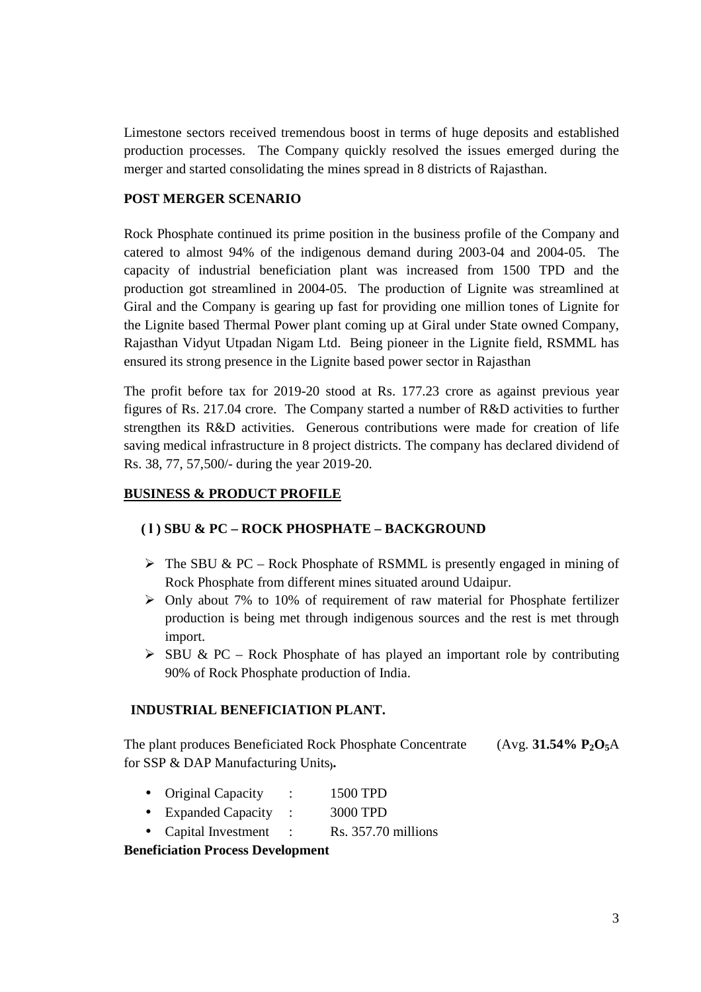Limestone sectors received tremendous boost in terms of huge deposits and established production processes. The Company quickly resolved the issues emerged during the merger and started consolidating the mines spread in 8 districts of Rajasthan.

#### **POST MERGER SCENARIO**

Rock Phosphate continued its prime position in the business profile of the Company and catered to almost 94% of the indigenous demand during 2003-04 and 2004-05. The capacity of industrial beneficiation plant was increased from 1500 TPD and the production got streamlined in 2004-05. The production of Lignite was streamlined at Giral and the Company is gearing up fast for providing one million tones of Lignite for the Lignite based Thermal Power plant coming up at Giral under State owned Company, Rajasthan Vidyut Utpadan Nigam Ltd. Being pioneer in the Lignite field, RSMML has ensured its strong presence in the Lignite based power sector in Rajasthan

The profit before tax for 2019-20 stood at Rs. 177.23 crore as against previous year figures of Rs. 217.04 crore. The Company started a number of R&D activities to further strengthen its R&D activities. Generous contributions were made for creation of life saving medical infrastructure in 8 project districts. The company has declared dividend of Rs. 38, 77, 57,500/- during the year 2019-20.

#### **BUSINESS & PRODUCT PROFILE**

#### **( l ) SBU & PC – ROCK PHOSPHATE – BACKGROUND**

- $\triangleright$  The SBU & PC Rock Phosphate of RSMML is presently engaged in mining of Rock Phosphate from different mines situated around Udaipur.
- $\triangleright$  Only about 7% to 10% of requirement of raw material for Phosphate fertilizer production is being met through indigenous sources and the rest is met through import.
- $\triangleright$  SBU & PC Rock Phosphate of has played an important role by contributing 90% of Rock Phosphate production of India.

#### **INDUSTRIAL BENEFICIATION PLANT.**

The plant produces Beneficiated Rock Phosphate Concentrate (Avg. **31.54% P2O5**A for SSP & DAP Manufacturing Units**) .** 

- Original Capacity : 1500 TPD
- Expanded Capacity : 3000 TPD
- Capital Investment : Rs. 357.70 millions

**Beneficiation Process Development**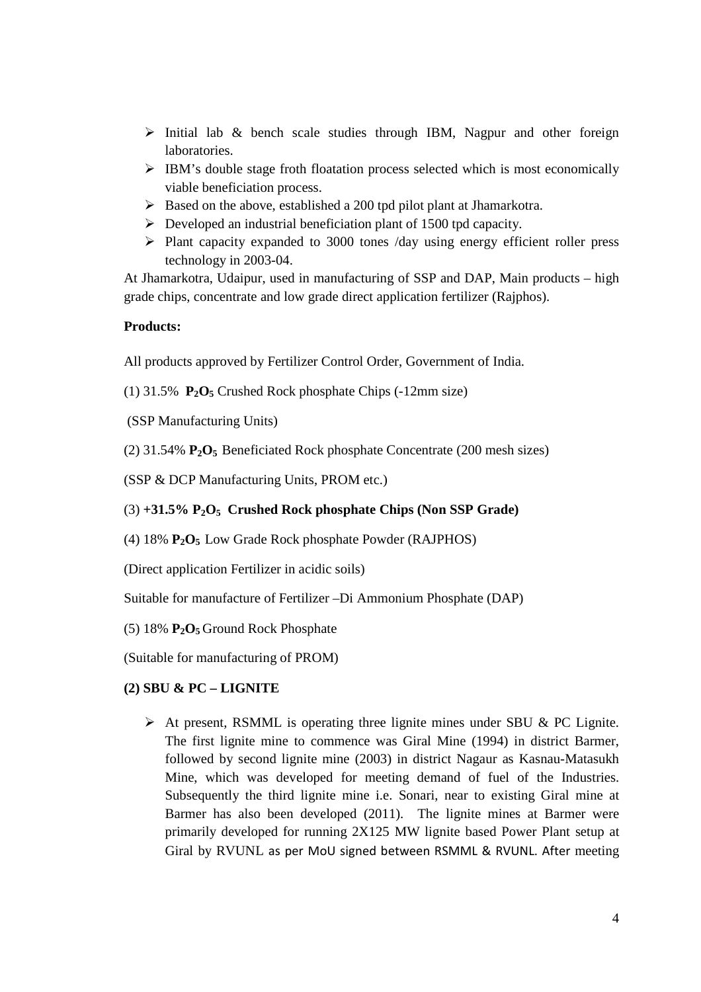- $\triangleright$  Initial lab & bench scale studies through IBM, Nagpur and other foreign laboratories.
- $\triangleright$  IBM's double stage froth floatation process selected which is most economically viable beneficiation process.
- $\triangleright$  Based on the above, established a 200 tpd pilot plant at Jhamarkotra.
- $\triangleright$  Developed an industrial beneficiation plant of 1500 tpd capacity.
- $\triangleright$  Plant capacity expanded to 3000 tones /day using energy efficient roller press technology in 2003-04.

At Jhamarkotra, Udaipur, used in manufacturing of SSP and DAP, Main products – high grade chips, concentrate and low grade direct application fertilizer (Rajphos).

#### **Products:**

All products approved by Fertilizer Control Order, Government of India.

(1) 31.5% **P2O5** Crushed Rock phosphate Chips (-12mm size)

(SSP Manufacturing Units)

(2) 31.54% **P2O5** Beneficiated Rock phosphate Concentrate (200 mesh sizes)

(SSP & DCP Manufacturing Units, PROM etc.)

#### (3) **+31.5% P2O5 Crushed Rock phosphate Chips (Non SSP Grade)**

(4) 18% **P2O5** Low Grade Rock phosphate Powder (RAJPHOS)

(Direct application Fertilizer in acidic soils)

Suitable for manufacture of Fertilizer –Di Ammonium Phosphate (DAP)

(5) 18% **P2O5** Ground Rock Phosphate

(Suitable for manufacturing of PROM)

#### **(2) SBU & PC – LIGNITE**

 $\triangleright$  At present, RSMML is operating three lignite mines under SBU & PC Lignite. The first lignite mine to commence was Giral Mine (1994) in district Barmer, followed by second lignite mine (2003) in district Nagaur as Kasnau-Matasukh Mine, which was developed for meeting demand of fuel of the Industries. Subsequently the third lignite mine i.e. Sonari, near to existing Giral mine at Barmer has also been developed (2011). The lignite mines at Barmer were primarily developed for running 2X125 MW lignite based Power Plant setup at Giral by RVUNL as per MoU signed between RSMML & RVUNL. After meeting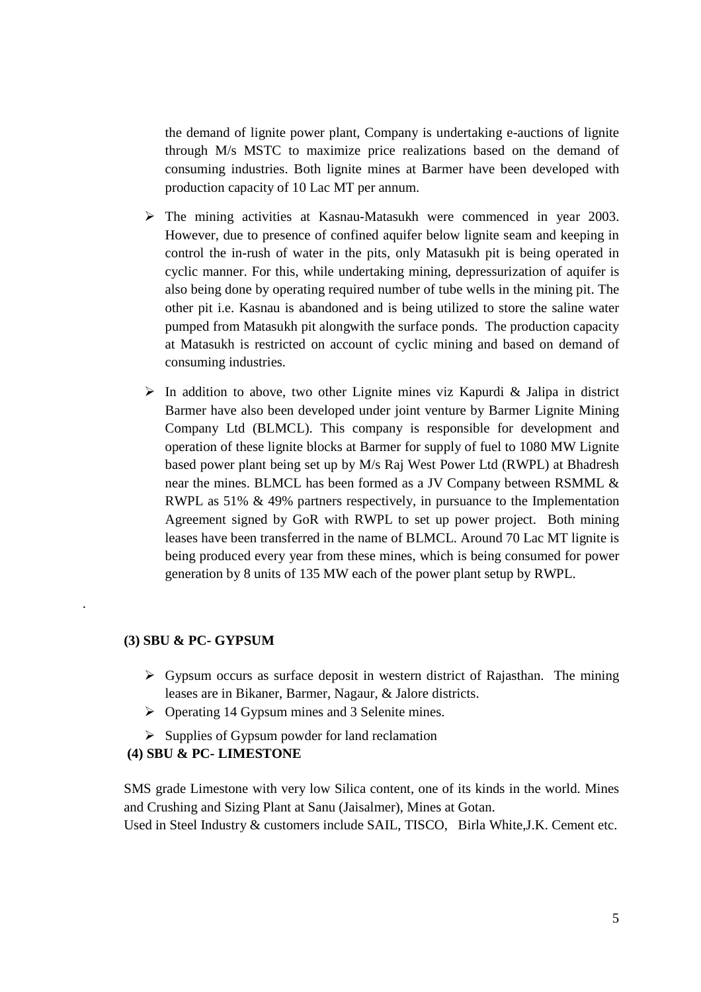the demand of lignite power plant, Company is undertaking e-auctions of lignite through M/s MSTC to maximize price realizations based on the demand of consuming industries. Both lignite mines at Barmer have been developed with production capacity of 10 Lac MT per annum.

- $\triangleright$  The mining activities at Kasnau-Matasukh were commenced in year 2003. However, due to presence of confined aquifer below lignite seam and keeping in control the in-rush of water in the pits, only Matasukh pit is being operated in cyclic manner. For this, while undertaking mining, depressurization of aquifer is also being done by operating required number of tube wells in the mining pit. The other pit i.e. Kasnau is abandoned and is being utilized to store the saline water pumped from Matasukh pit alongwith the surface ponds. The production capacity at Matasukh is restricted on account of cyclic mining and based on demand of consuming industries.
- $\triangleright$  In addition to above, two other Lignite mines viz Kapurdi & Jalipa in district Barmer have also been developed under joint venture by Barmer Lignite Mining Company Ltd (BLMCL). This company is responsible for development and operation of these lignite blocks at Barmer for supply of fuel to 1080 MW Lignite based power plant being set up by M/s Raj West Power Ltd (RWPL) at Bhadresh near the mines. BLMCL has been formed as a JV Company between RSMML & RWPL as 51% & 49% partners respectively, in pursuance to the Implementation Agreement signed by GoR with RWPL to set up power project. Both mining leases have been transferred in the name of BLMCL. Around 70 Lac MT lignite is being produced every year from these mines, which is being consumed for power generation by 8 units of 135 MW each of the power plant setup by RWPL.

#### **(3) SBU & PC- GYPSUM**

.

- $\triangleright$  Gypsum occurs as surface deposit in western district of Rajasthan. The mining leases are in Bikaner, Barmer, Nagaur, & Jalore districts.
- $\triangleright$  Operating 14 Gypsum mines and 3 Selenite mines.
- $\triangleright$  Supplies of Gypsum powder for land reclamation

#### **(4) SBU & PC- LIMESTONE**

SMS grade Limestone with very low Silica content, one of its kinds in the world. Mines and Crushing and Sizing Plant at Sanu (Jaisalmer), Mines at Gotan. Used in Steel Industry & customers include SAIL, TISCO, Birla White,J.K. Cement etc.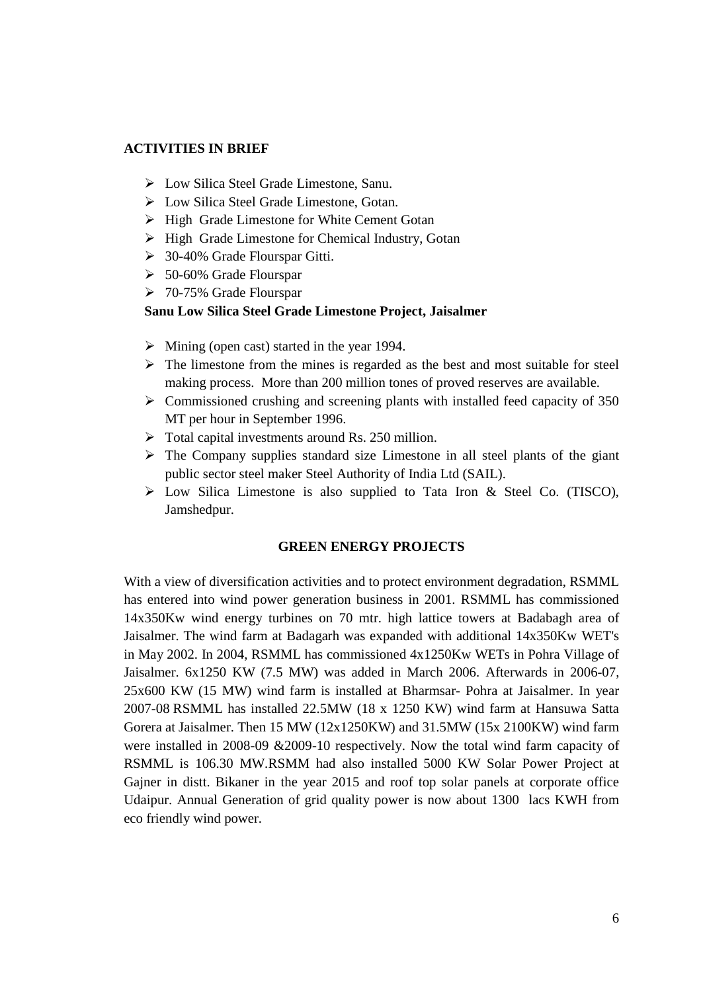#### **ACTIVITIES IN BRIEF**

- Low Silica Steel Grade Limestone, Sanu.
- Low Silica Steel Grade Limestone, Gotan.
- $\triangleright$  High Grade Limestone for White Cement Gotan
- $\triangleright$  High Grade Limestone for Chemical Industry, Gotan
- 30-40% Grade Flourspar Gitti.
- 50-60% Grade Flourspar
- 70-75% Grade Flourspar

#### **Sanu Low Silica Steel Grade Limestone Project, Jaisalmer**

- $\triangleright$  Mining (open cast) started in the year 1994.
- $\triangleright$  The limestone from the mines is regarded as the best and most suitable for steel making process. More than 200 million tones of proved reserves are available.
- $\triangleright$  Commissioned crushing and screening plants with installed feed capacity of 350 MT per hour in September 1996.
- $\triangleright$  Total capital investments around Rs. 250 million.
- $\triangleright$  The Company supplies standard size Limestone in all steel plants of the giant public sector steel maker Steel Authority of India Ltd (SAIL).
- Low Silica Limestone is also supplied to Tata Iron & Steel Co. (TISCO), Jamshedpur.

#### **GREEN ENERGY PROJECTS**

With a view of diversification activities and to protect environment degradation, RSMML has entered into wind power generation business in 2001. RSMML has commissioned 14x350Kw wind energy turbines on 70 mtr. high lattice towers at Badabagh area of Jaisalmer. The wind farm at Badagarh was expanded with additional 14x350Kw WET's in May 2002. In 2004, RSMML has commissioned 4x1250Kw WETs in Pohra Village of Jaisalmer. 6x1250 KW (7.5 MW) was added in March 2006. Afterwards in 2006-07, 25x600 KW (15 MW) wind farm is installed at Bharmsar- Pohra at Jaisalmer. In year 2007-08 RSMML has installed 22.5MW (18 x 1250 KW) wind farm at Hansuwa Satta Gorera at Jaisalmer. Then 15 MW (12x1250KW) and 31.5MW (15x 2100KW) wind farm were installed in 2008-09 &2009-10 respectively. Now the total wind farm capacity of RSMML is 106.30 MW.RSMM had also installed 5000 KW Solar Power Project at Gajner in distt. Bikaner in the year 2015 and roof top solar panels at corporate office Udaipur. Annual Generation of grid quality power is now about 1300 lacs KWH from eco friendly wind power.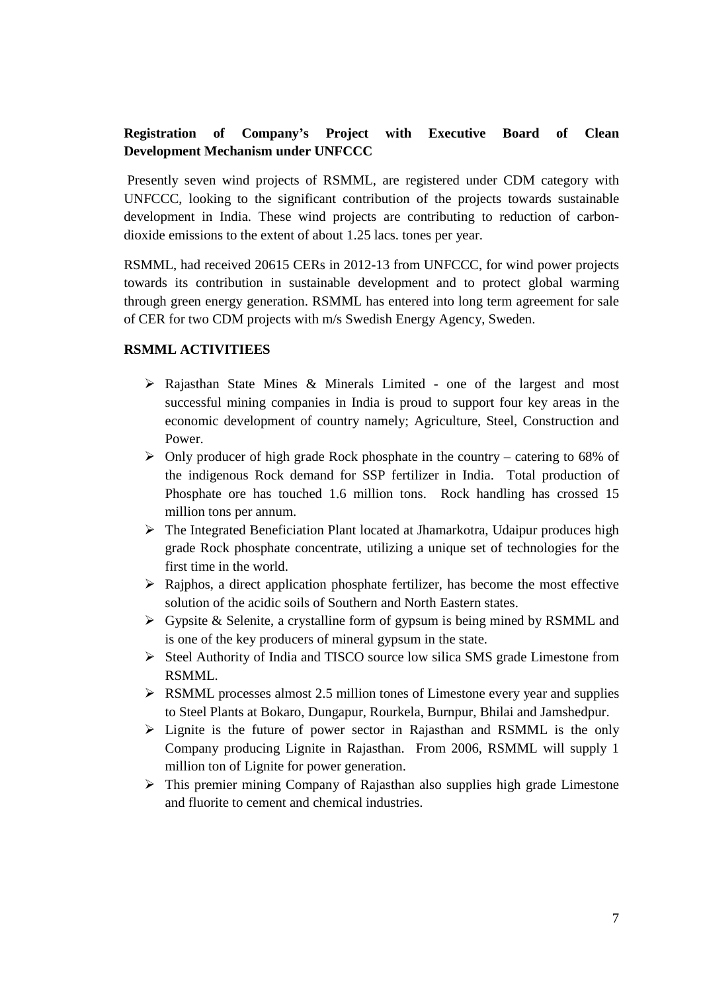#### **Registration of Company's Project with Executive Board of Clean Development Mechanism under UNFCCC**

 Presently seven wind projects of RSMML, are registered under CDM category with UNFCCC, looking to the significant contribution of the projects towards sustainable development in India. These wind projects are contributing to reduction of carbondioxide emissions to the extent of about 1.25 lacs. tones per year.

RSMML, had received 20615 CERs in 2012-13 from UNFCCC, for wind power projects towards its contribution in sustainable development and to protect global warming through green energy generation. RSMML has entered into long term agreement for sale of CER for two CDM projects with m/s Swedish Energy Agency, Sweden.

#### **RSMML ACTIVITIEES**

- Rajasthan State Mines & Minerals Limited one of the largest and most successful mining companies in India is proud to support four key areas in the economic development of country namely; Agriculture, Steel, Construction and Power.
- $\triangleright$  Only producer of high grade Rock phosphate in the country catering to 68% of the indigenous Rock demand for SSP fertilizer in India. Total production of Phosphate ore has touched 1.6 million tons. Rock handling has crossed 15 million tons per annum.
- $\triangleright$  The Integrated Beneficiation Plant located at Jhamarkotra, Udaipur produces high grade Rock phosphate concentrate, utilizing a unique set of technologies for the first time in the world.
- $\triangleright$  Rajphos, a direct application phosphate fertilizer, has become the most effective solution of the acidic soils of Southern and North Eastern states.
- $\triangleright$  Gypsite & Selenite, a crystalline form of gypsum is being mined by RSMML and is one of the key producers of mineral gypsum in the state.
- Steel Authority of India and TISCO source low silica SMS grade Limestone from RSMML.
- $\triangleright$  RSMML processes almost 2.5 million tones of Limestone every year and supplies to Steel Plants at Bokaro, Dungapur, Rourkela, Burnpur, Bhilai and Jamshedpur.
- $\triangleright$  Lignite is the future of power sector in Rajasthan and RSMML is the only Company producing Lignite in Rajasthan. From 2006, RSMML will supply 1 million ton of Lignite for power generation.
- $\triangleright$  This premier mining Company of Rajasthan also supplies high grade Limestone and fluorite to cement and chemical industries.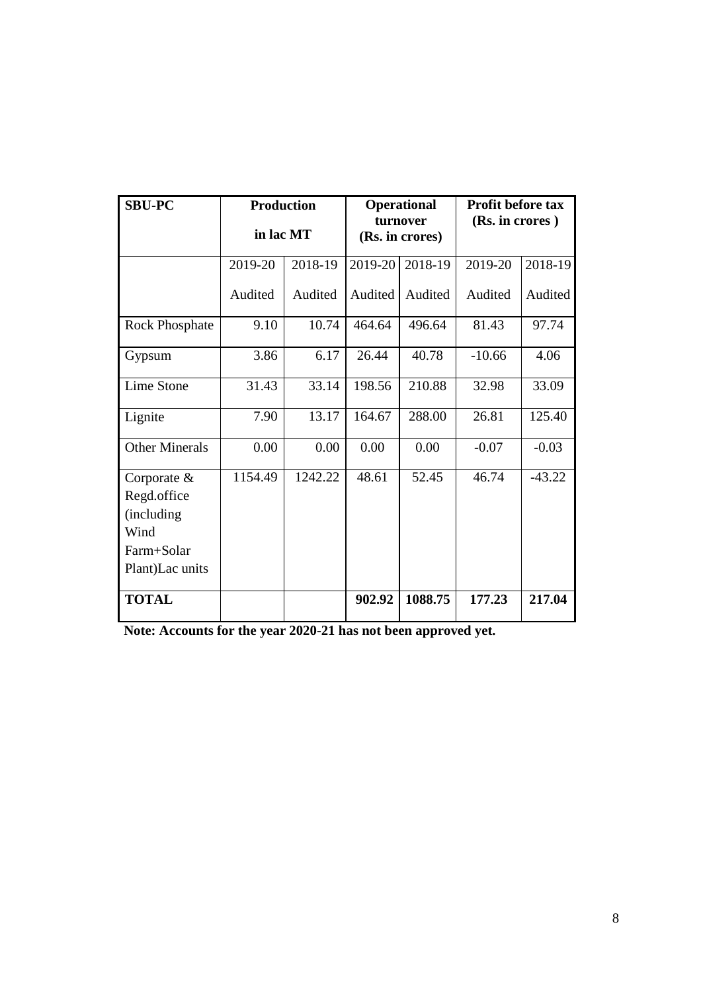| <b>SBU-PC</b>                                                                        | <b>Production</b><br>in lac MT |         | <b>Operational</b><br>turnover<br>(Rs. in crores) |         | <b>Profit before tax</b><br>(Rs. in crores) |          |
|--------------------------------------------------------------------------------------|--------------------------------|---------|---------------------------------------------------|---------|---------------------------------------------|----------|
|                                                                                      | 2019-20                        | 2018-19 | 2019-20                                           | 2018-19 | 2019-20                                     | 2018-19  |
|                                                                                      | Audited                        | Audited | Audited                                           | Audited | Audited                                     | Audited  |
| <b>Rock Phosphate</b>                                                                | 9.10                           | 10.74   | 464.64                                            | 496.64  | 81.43                                       | 97.74    |
| Gypsum                                                                               | 3.86                           | 6.17    | 26.44                                             | 40.78   | $-10.66$                                    | 4.06     |
| Lime Stone                                                                           | 31.43                          | 33.14   | 198.56                                            | 210.88  | 32.98                                       | 33.09    |
| Lignite                                                                              | 7.90                           | 13.17   | 164.67                                            | 288.00  | 26.81                                       | 125.40   |
| <b>Other Minerals</b>                                                                | 0.00                           | 0.00    | 0.00                                              | 0.00    | $-0.07$                                     | $-0.03$  |
| Corporate $\&$<br>Regd.office<br>(including<br>Wind<br>Farm+Solar<br>Plant)Lac units | 1154.49                        | 1242.22 | 48.61                                             | 52.45   | 46.74                                       | $-43.22$ |
| <b>TOTAL</b>                                                                         |                                |         | 902.92                                            | 1088.75 | 177.23                                      | 217.04   |

**Note: Accounts for the year 2020-21 has not been approved yet.**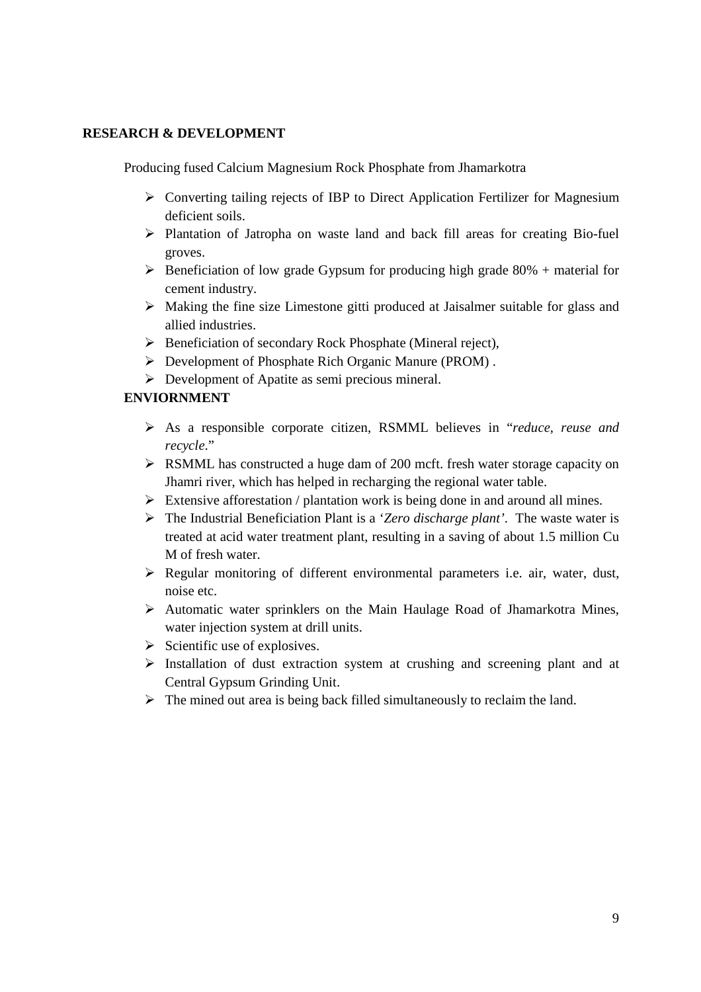#### **RESEARCH & DEVELOPMENT**

Producing fused Calcium Magnesium Rock Phosphate from Jhamarkotra

- $\triangleright$  Converting tailing rejects of IBP to Direct Application Fertilizer for Magnesium deficient soils.
- Plantation of Jatropha on waste land and back fill areas for creating Bio-fuel groves.
- $\triangleright$  Beneficiation of low grade Gypsum for producing high grade 80% + material for cement industry.
- $\triangleright$  Making the fine size Limestone gitti produced at Jaisalmer suitable for glass and allied industries.
- $\triangleright$  Beneficiation of secondary Rock Phosphate (Mineral reject),
- Development of Phosphate Rich Organic Manure (PROM) .
- Development of Apatite as semi precious mineral.

#### **ENVIORNMENT**

- As a responsible corporate citizen, RSMML believes in "*reduce, reuse and recycle*."
- RSMML has constructed a huge dam of 200 mcft. fresh water storage capacity on Jhamri river, which has helped in recharging the regional water table.
- Extensive afforestation / plantation work is being done in and around all mines.
- The Industrial Beneficiation Plant is a '*Zero discharge plant'*. The waste water is treated at acid water treatment plant, resulting in a saving of about 1.5 million Cu M of fresh water.
- Regular monitoring of different environmental parameters i.e. air, water, dust, noise etc.
- Automatic water sprinklers on the Main Haulage Road of Jhamarkotra Mines, water injection system at drill units.
- $\triangleright$  Scientific use of explosives.
- $\triangleright$  Installation of dust extraction system at crushing and screening plant and at Central Gypsum Grinding Unit.
- $\triangleright$  The mined out area is being back filled simultaneously to reclaim the land.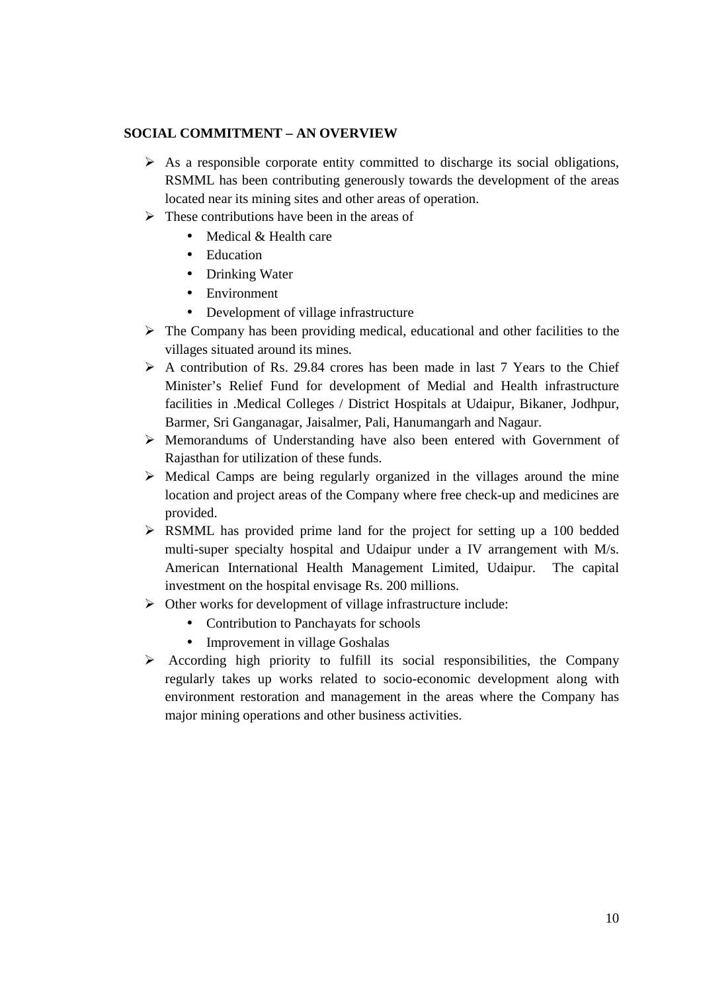#### **SOCIAL COMMITMENT – AN OVERVIEW**

- $\triangleright$  As a responsible corporate entity committed to discharge its social obligations, RSMML has been contributing generously towards the development of the areas located near its mining sites and other areas of operation.
- $\triangleright$  These contributions have been in the areas of
	- Medical & Health care
	- Education
	- Drinking Water
	- Environment
	- Development of village infrastructure
- $\triangleright$  The Company has been providing medical, educational and other facilities to the villages situated around its mines.
- $\triangleright$  A contribution of Rs. 29.84 crores has been made in last 7 Years to the Chief Minister's Relief Fund for development of Medial and Health infrastructure facilities in .Medical Colleges / District Hospitals at Udaipur, Bikaner, Jodhpur, Barmer, Sri Ganganagar, Jaisalmer, Pali, Hanumangarh and Nagaur.
- $\triangleright$  Memorandums of Understanding have also been entered with Government of Rajasthan for utilization of these funds.
- $\triangleright$  Medical Camps are being regularly organized in the villages around the mine location and project areas of the Company where free check-up and medicines are provided.
- RSMML has provided prime land for the project for setting up a 100 bedded multi-super specialty hospital and Udaipur under a IV arrangement with M/s. American International Health Management Limited, Udaipur. The capital investment on the hospital envisage Rs. 200 millions.
- $\triangleright$  Other works for development of village infrastructure include:
	- Contribution to Panchayats for schools
	- Improvement in village Goshalas
- $\triangleright$  According high priority to fulfill its social responsibilities, the Company regularly takes up works related to socio-economic development along with environment restoration and management in the areas where the Company has major mining operations and other business activities.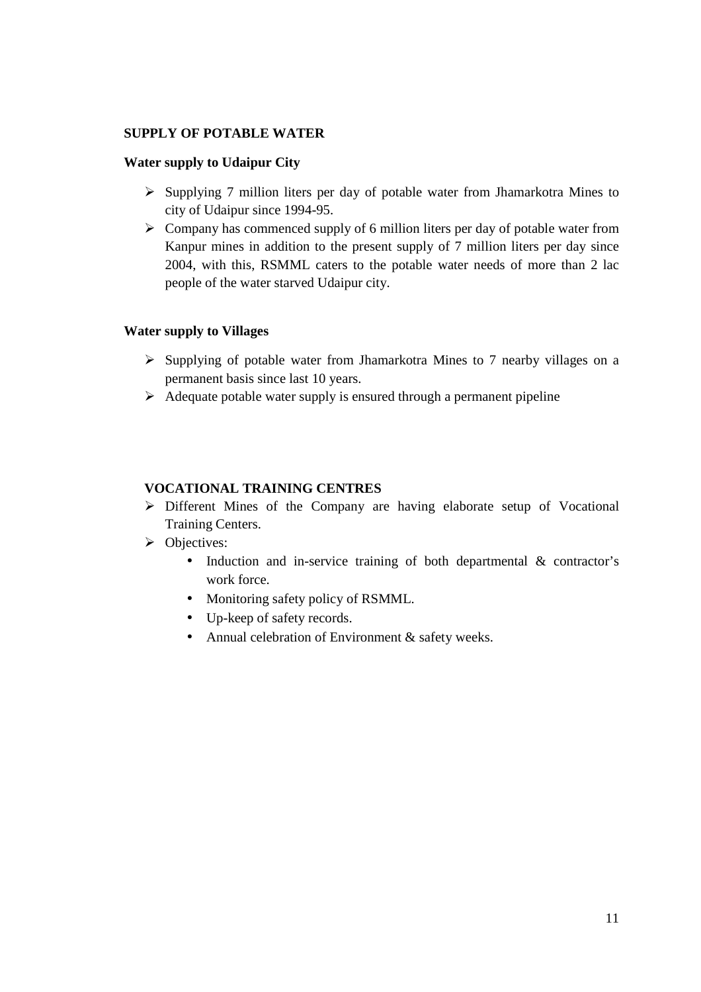#### **SUPPLY OF POTABLE WATER**

#### **Water supply to Udaipur City**

- $\triangleright$  Supplying 7 million liters per day of potable water from Jhamarkotra Mines to city of Udaipur since 1994-95.
- $\triangleright$  Company has commenced supply of 6 million liters per day of potable water from Kanpur mines in addition to the present supply of 7 million liters per day since 2004, with this, RSMML caters to the potable water needs of more than 2 lac people of the water starved Udaipur city.

#### **Water supply to Villages**

- $\triangleright$  Supplying of potable water from Jhamarkotra Mines to 7 nearby villages on a permanent basis since last 10 years.
- $\triangleright$  Adequate potable water supply is ensured through a permanent pipeline

#### **VOCATIONAL TRAINING CENTRES**

- Different Mines of the Company are having elaborate setup of Vocational Training Centers.
- **Diectives:** 
	- Induction and in-service training of both departmental & contractor's work force.
	- Monitoring safety policy of RSMML.
	- Up-keep of safety records.
	- Annual celebration of Environment & safety weeks.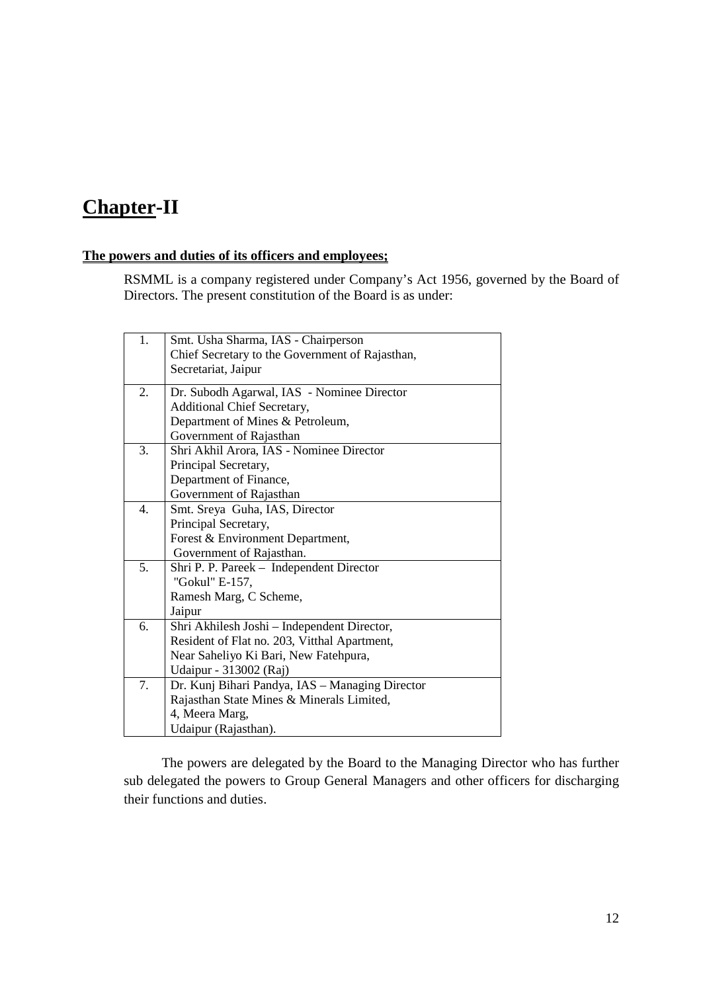### **Chapter-II**

#### **The powers and duties of its officers and employees;**

RSMML is a company registered under Company's Act 1956, governed by the Board of Directors. The present constitution of the Board is as under:

| 1. | Smt. Usha Sharma, IAS - Chairperson             |
|----|-------------------------------------------------|
|    | Chief Secretary to the Government of Rajasthan, |
|    | Secretariat, Jaipur                             |
|    |                                                 |
| 2. | Dr. Subodh Agarwal, IAS - Nominee Director      |
|    | Additional Chief Secretary,                     |
|    | Department of Mines & Petroleum,                |
|    | Government of Rajasthan                         |
| 3. | Shri Akhil Arora, IAS - Nominee Director        |
|    | Principal Secretary,                            |
|    | Department of Finance,                          |
|    | Government of Rajasthan                         |
| 4. | Smt. Sreya Guha, IAS, Director                  |
|    | Principal Secretary,                            |
|    | Forest & Environment Department,                |
|    | Government of Rajasthan.                        |
| 5. | Shri P. P. Pareek - Independent Director        |
|    | "Gokul" E-157,                                  |
|    | Ramesh Marg, C Scheme,                          |
|    | Jaipur                                          |
| 6. | Shri Akhilesh Joshi - Independent Director,     |
|    | Resident of Flat no. 203, Vitthal Apartment,    |
|    | Near Saheliyo Ki Bari, New Fatehpura,           |
|    | Udaipur - 313002 (Raj)                          |
| 7. | Dr. Kunj Bihari Pandya, IAS - Managing Director |
|    | Rajasthan State Mines & Minerals Limited,       |
|    | 4, Meera Marg,                                  |
|    | Udaipur (Rajasthan).                            |

 The powers are delegated by the Board to the Managing Director who has further sub delegated the powers to Group General Managers and other officers for discharging their functions and duties.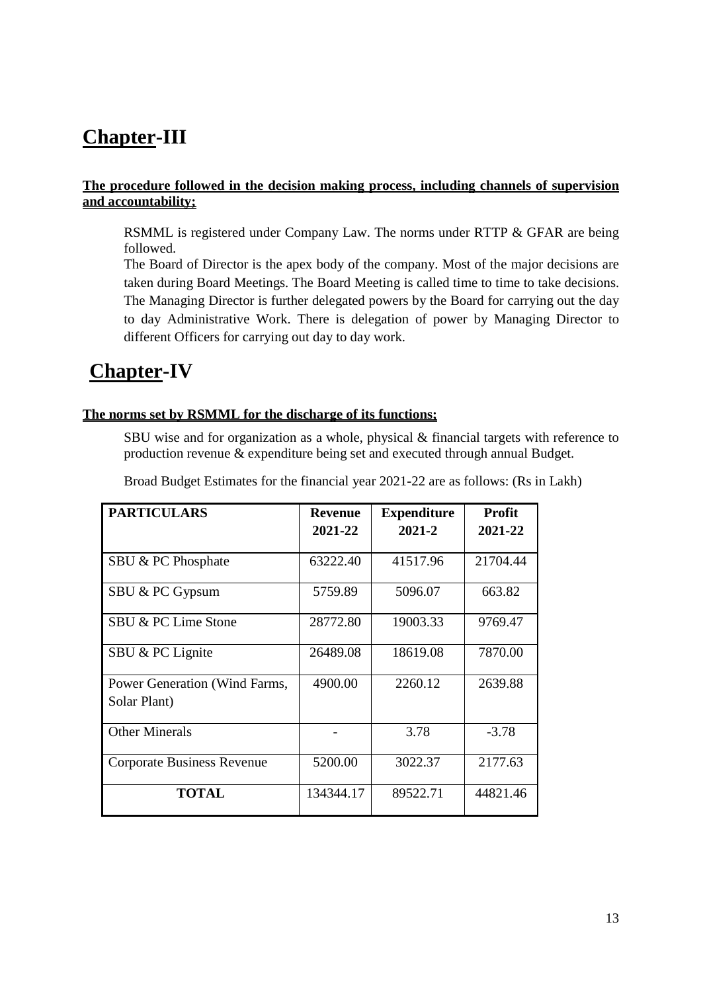### **Chapter-III**

#### **The procedure followed in the decision making process, including channels of supervision and accountability;**

RSMML is registered under Company Law. The norms under RTTP & GFAR are being followed.

The Board of Director is the apex body of the company. Most of the major decisions are taken during Board Meetings. The Board Meeting is called time to time to take decisions. The Managing Director is further delegated powers by the Board for carrying out the day to day Administrative Work. There is delegation of power by Managing Director to different Officers for carrying out day to day work.

### **Chapter-IV**

#### **The norms set by RSMML for the discharge of its functions;**

SBU wise and for organization as a whole, physical & financial targets with reference to production revenue & expenditure being set and executed through annual Budget.

| <b>PARTICULARS</b>                | <b>Revenue</b> | <b>Expenditure</b> | <b>Profit</b> |
|-----------------------------------|----------------|--------------------|---------------|
|                                   | 2021-22        | $2021 - 2$         | 2021-22       |
| SBU & PC Phosphate                | 63222.40       | 41517.96           | 21704.44      |
| SBU & PC Gypsum                   | 5759.89        | 5096.07            | 663.82        |
| SBU & PC Lime Stone               | 28772.80       | 19003.33           | 9769.47       |
| SBU & PC Lignite                  | 26489.08       | 18619.08           | 7870.00       |
| Power Generation (Wind Farms,     | 4900.00        | 2260.12            | 2639.88       |
| Solar Plant)                      |                |                    |               |
| <b>Other Minerals</b>             |                | 3.78               | $-3.78$       |
| <b>Corporate Business Revenue</b> | 5200.00        | 3022.37            | 2177.63       |
| <b>TOTAL</b>                      | 134344.17      | 89522.71           | 44821.46      |

Broad Budget Estimates for the financial year 2021-22 are as follows: (Rs in Lakh)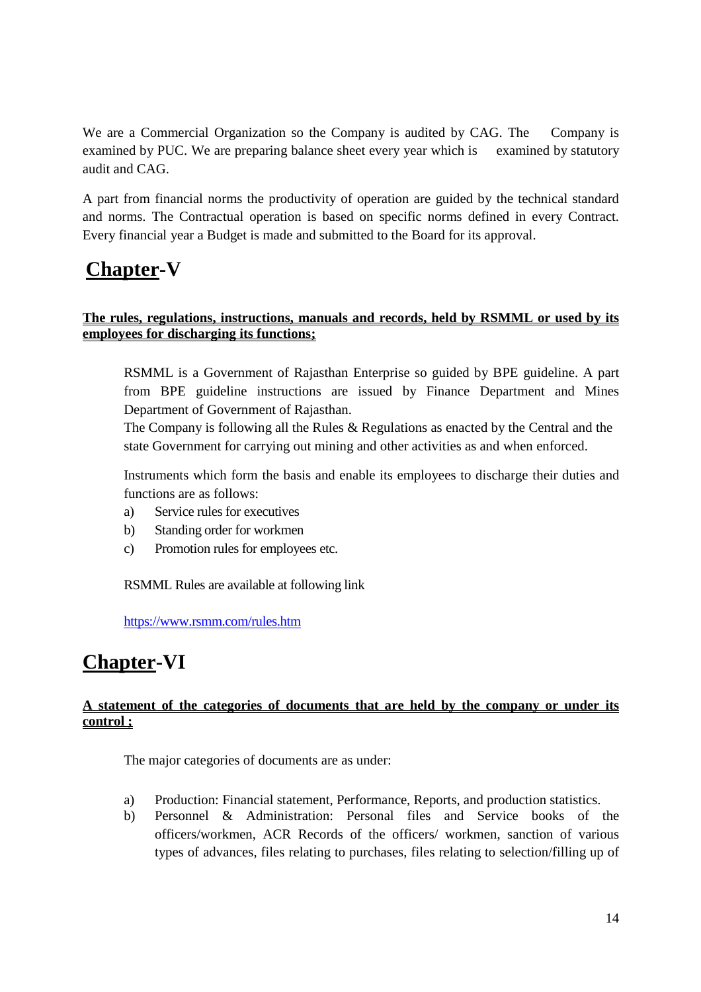We are a Commercial Organization so the Company is audited by CAG. The Company is examined by PUC. We are preparing balance sheet every year which is examined by statutory audit and CAG.

A part from financial norms the productivity of operation are guided by the technical standard and norms. The Contractual operation is based on specific norms defined in every Contract. Every financial year a Budget is made and submitted to the Board for its approval.

# **Chapter-V**

#### **The rules, regulations, instructions, manuals and records, held by RSMML or used by its employees for discharging its functions;**

RSMML is a Government of Rajasthan Enterprise so guided by BPE guideline. A part from BPE guideline instructions are issued by Finance Department and Mines Department of Government of Rajasthan.

The Company is following all the Rules & Regulations as enacted by the Central and the state Government for carrying out mining and other activities as and when enforced.

Instruments which form the basis and enable its employees to discharge their duties and functions are as follows:

- a) Service rules for executives
- b) Standing order for workmen
- c) Promotion rules for employees etc.

RSMML Rules are available at following link

https://www.rsmm.com/rules.htm

### **Chapter-VI**

#### **A statement of the categories of documents that are held by the company or under its control ;**

The major categories of documents are as under:

- a) Production: Financial statement, Performance, Reports, and production statistics.
- b) Personnel & Administration: Personal files and Service books of the officers/workmen, ACR Records of the officers/ workmen, sanction of various types of advances, files relating to purchases, files relating to selection/filling up of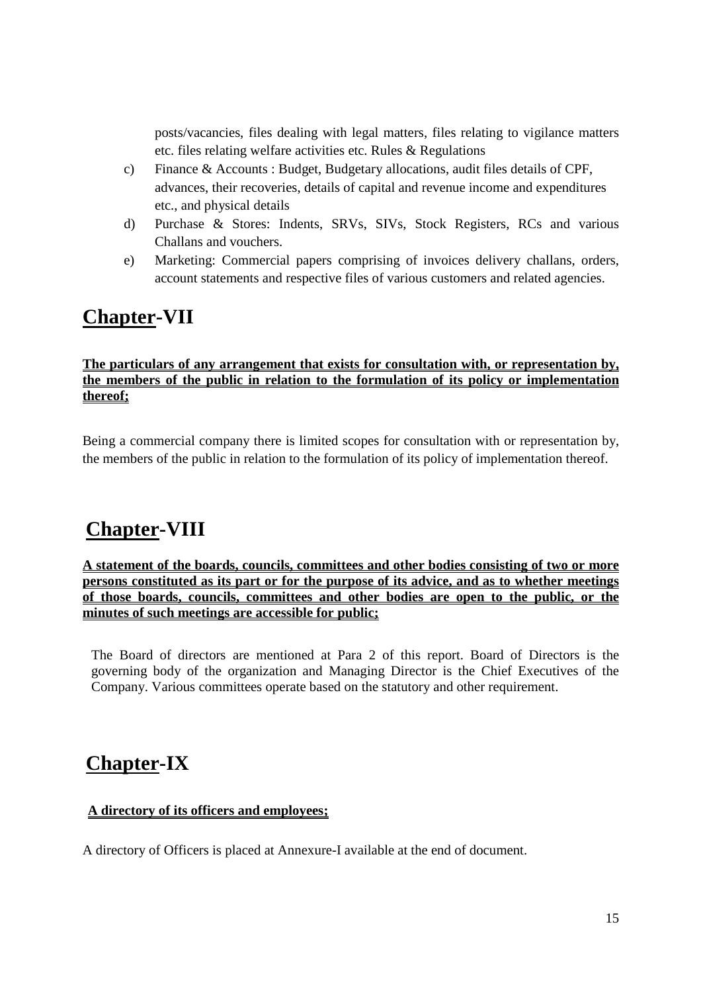posts/vacancies, files dealing with legal matters, files relating to vigilance matters etc. files relating welfare activities etc. Rules & Regulations

- c) Finance & Accounts : Budget, Budgetary allocations, audit files details of CPF, advances, their recoveries, details of capital and revenue income and expenditures etc., and physical details
- d) Purchase & Stores: Indents, SRVs, SIVs, Stock Registers, RCs and various Challans and vouchers.
- e) Marketing: Commercial papers comprising of invoices delivery challans, orders, account statements and respective files of various customers and related agencies.

### **Chapter-VII**

#### **The particulars of any arrangement that exists for consultation with, or representation by, the members of the public in relation to the formulation of its policy or implementation thereof;**

Being a commercial company there is limited scopes for consultation with or representation by, the members of the public in relation to the formulation of its policy of implementation thereof.

# **Chapter-VIII**

**A statement of the boards, councils, committees and other bodies consisting of two or more persons constituted as its part or for the purpose of its advice, and as to whether meetings of those boards, councils, committees and other bodies are open to the public, or the minutes of such meetings are accessible for public;**

The Board of directors are mentioned at Para 2 of this report. Board of Directors is the governing body of the organization and Managing Director is the Chief Executives of the Company. Various committees operate based on the statutory and other requirement.

### **Chapter-IX**

#### **A directory of its officers and employees;**

A directory of Officers is placed at Annexure-I available at the end of document.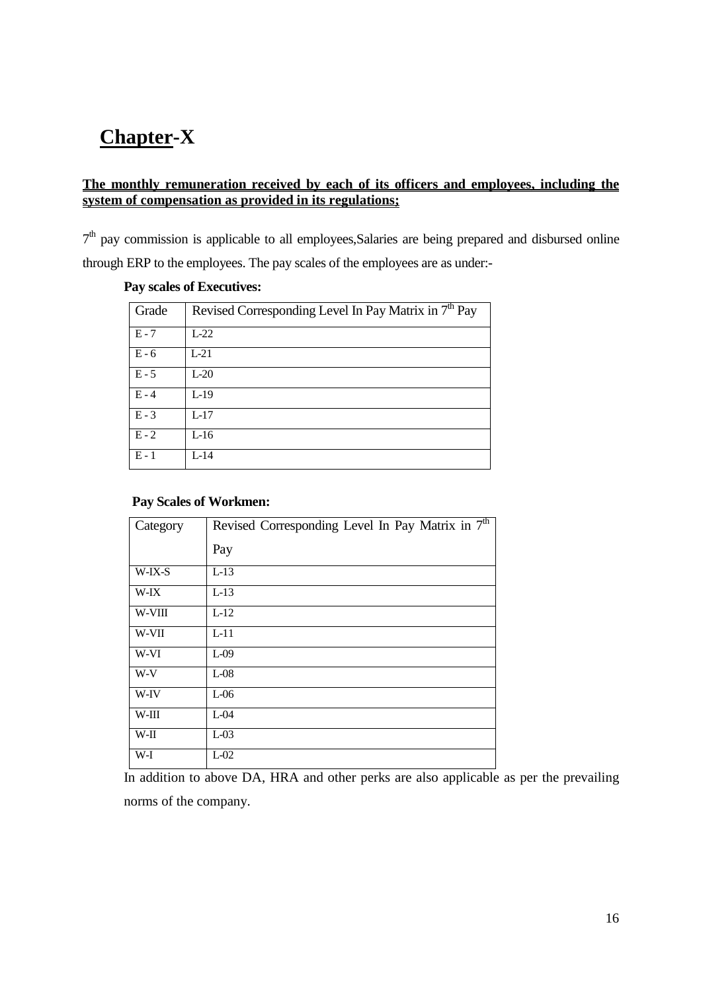# **Chapter-X**

#### **The monthly remuneration received by each of its officers and employees, including the system of compensation as provided in its regulations;**

 $7<sup>th</sup>$  pay commission is applicable to all employees, Salaries are being prepared and disbursed online through ERP to the employees. The pay scales of the employees are as under:-

| Grade   | Revised Corresponding Level In Pay Matrix in 7 <sup>th</sup> Pay |
|---------|------------------------------------------------------------------|
| $E - 7$ | $L-22$                                                           |
| $E - 6$ | $L-21$                                                           |
| $E - 5$ | $L-20$                                                           |
| $E - 4$ | $L-19$                                                           |
| $E - 3$ | $L-17$                                                           |
| $E - 2$ | $L-16$                                                           |
| $E - 1$ | $L-14$                                                           |

#### **Pay scales of Executives:**

#### **Pay Scales of Workmen:**

| Category | Revised Corresponding Level In Pay Matrix in 7 <sup>th</sup> |
|----------|--------------------------------------------------------------|
|          | Pay                                                          |
| W-IX-S   | $L-13$                                                       |
| W-IX     | $L-13$                                                       |
| W-VIII   | $L-12$                                                       |
| W-VII    | $L-11$                                                       |
| W-VI     | $L-09$                                                       |
| W-V      | $L-08$                                                       |
| W-IV     | $L-06$                                                       |
| W-III    | $L-04$                                                       |
| W-II     | $L-03$                                                       |
| W-I      | $L-02$                                                       |

In addition to above DA, HRA and other perks are also applicable as per the prevailing norms of the company.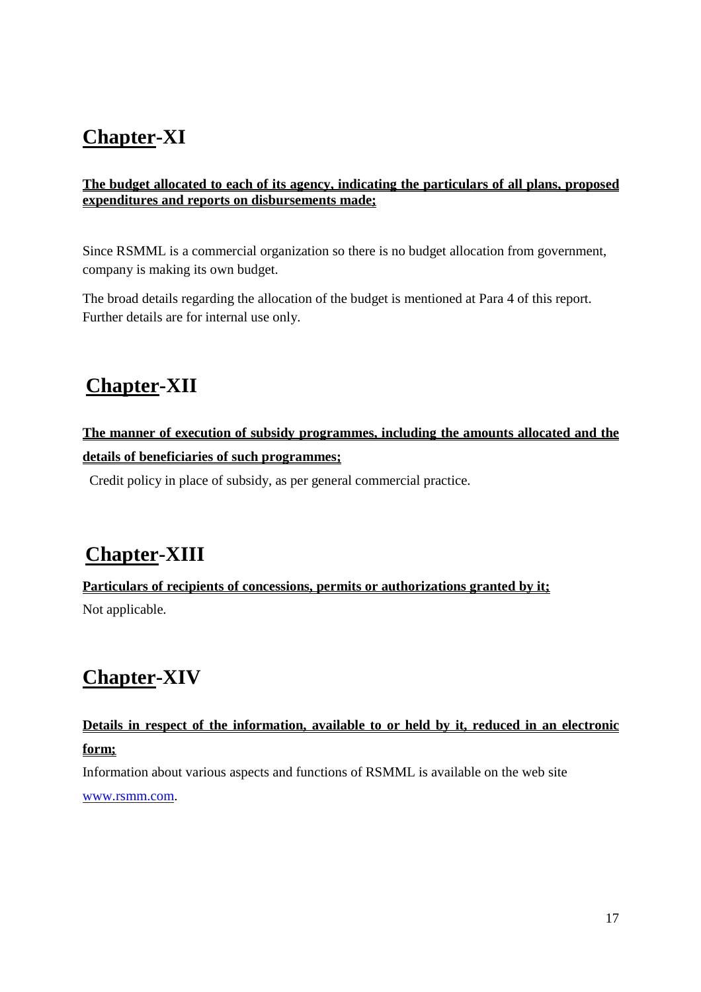# **Chapter-XI**

#### **The budget allocated to each of its agency, indicating the particulars of all plans, proposed expenditures and reports on disbursements made;**

Since RSMML is a commercial organization so there is no budget allocation from government, company is making its own budget.

The broad details regarding the allocation of the budget is mentioned at Para 4 of this report. Further details are for internal use only.

### **Chapter-XII**

### **The manner of execution of subsidy programmes, including the amounts allocated and the details of beneficiaries of such programmes;**

Credit policy in place of subsidy, as per general commercial practice.

# **Chapter-XIII**

**Particulars of recipients of concessions, permits or authorizations granted by it;** Not applicable.

# **Chapter-XIV**

### **Details in respect of the information, available to or held by it, reduced in an electronic form;**

Information about various aspects and functions of RSMML is available on the web site

www.rsmm.com.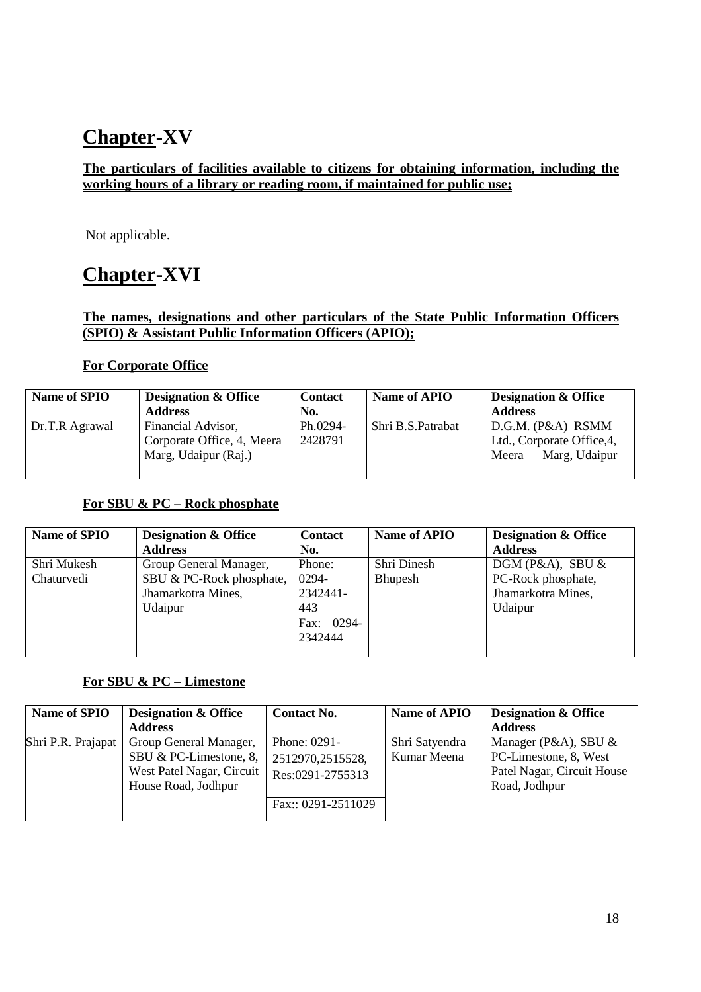### **Chapter-XV**

#### **The particulars of facilities available to citizens for obtaining information, including the working hours of a library or reading room, if maintained for public use;**

Not applicable.

### **Chapter-XVI**

#### **The names, designations and other particulars of the State Public Information Officers (SPIO) & Assistant Public Information Officers (APIO);**

#### **For Corporate Office**

| Name of SPIO   | <b>Designation &amp; Office</b><br><b>Address</b>                        | <b>Contact</b><br>No. | Name of APIO      | <b>Designation &amp; Office</b><br><b>Address</b>                         |
|----------------|--------------------------------------------------------------------------|-----------------------|-------------------|---------------------------------------------------------------------------|
| Dr.T.R Agrawal | Financial Advisor,<br>Corporate Office, 4, Meera<br>Marg, Udaipur (Raj.) | $Ph.0294-$<br>2428791 | Shri B.S.Patrabat | D.G.M. (P&A) RSMM<br>Ltd., Corporate Office, 4,<br>Marg, Udaipur<br>Meera |
|                |                                                                          |                       |                   |                                                                           |

#### **For SBU & PC – Rock phosphate**

| Name of SPIO | <b>Designation &amp; Office</b> | <b>Contact</b> | Name of APIO   | <b>Designation &amp; Office</b> |
|--------------|---------------------------------|----------------|----------------|---------------------------------|
|              | <b>Address</b>                  | No.            |                | <b>Address</b>                  |
| Shri Mukesh  | Group General Manager,          | Phone:         | Shri Dinesh    | DGM (P&A), SBU $\&$             |
| Chaturvedi   | SBU & PC-Rock phosphate,        | $ 0294 -$      | <b>Bhupesh</b> | PC-Rock phosphate,              |
|              | Jhamarkotra Mines,              | 2342441-       |                | Jhamarkotra Mines,              |
|              | Udaipur                         | 443            |                | Udaipur                         |
|              |                                 | 0294-<br>Fax:  |                |                                 |
|              |                                 | 2342444        |                |                                 |
|              |                                 |                |                |                                 |

#### **For SBU & PC – Limestone**

| Name of SPIO       | <b>Designation &amp; Office</b><br><b>Address</b>                                                    | <b>Contact No.</b>                                                           | Name of APIO                  | <b>Designation &amp; Office</b><br><b>Address</b>                                              |
|--------------------|------------------------------------------------------------------------------------------------------|------------------------------------------------------------------------------|-------------------------------|------------------------------------------------------------------------------------------------|
| Shri P.R. Prajapat | Group General Manager,<br>SBU & PC-Limestone, 8,<br>West Patel Nagar, Circuit<br>House Road, Jodhpur | Phone: 0291-<br>2512970,2515528,<br>Res:0291-2755313<br>Fax:: $0291-2511029$ | Shri Satyendra<br>Kumar Meena | Manager (P&A), SBU $&$<br>PC-Limestone, 8, West<br>Patel Nagar, Circuit House<br>Road, Jodhpur |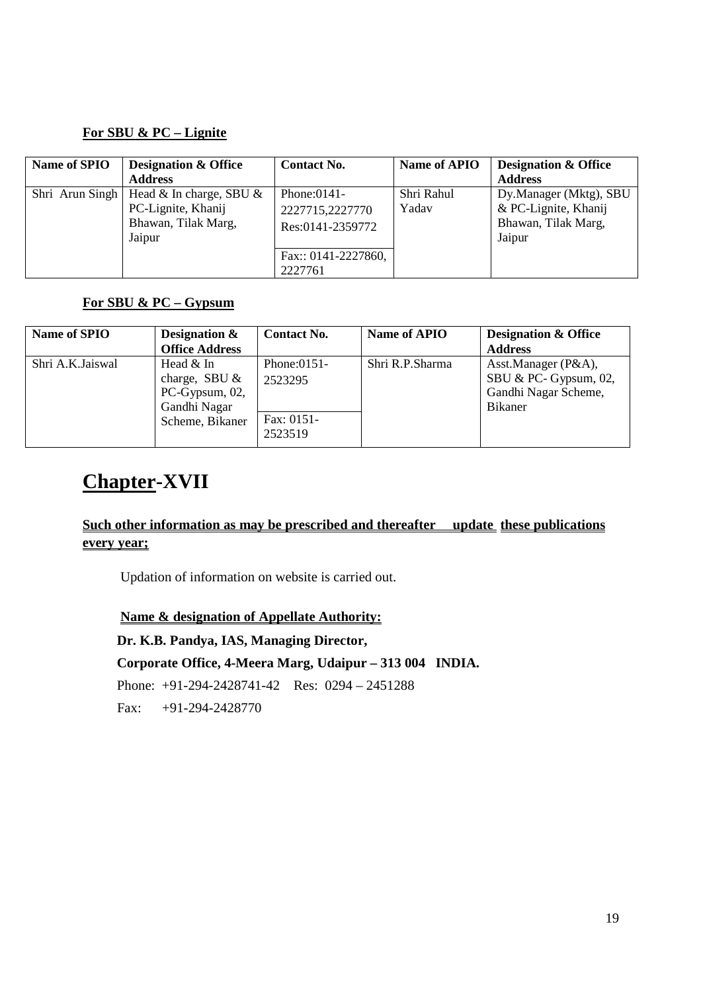#### **For SBU & PC – Lignite**

| Name of SPIO    | <b>Designation &amp; Office</b> | <b>Contact No.</b>  | Name of APIO | <b>Designation &amp; Office</b> |
|-----------------|---------------------------------|---------------------|--------------|---------------------------------|
|                 | <b>Address</b>                  |                     |              | <b>Address</b>                  |
| Shri Arun Singh | Head $\&$ In charge, SBU $\&$   | Phone: $0141-$      | Shri Rahul   | Dy.Manager (Mktg), SBU          |
|                 | PC-Lignite, Khanij              | 2227715,2227770     | Yadav        | & PC-Lignite, Khanij            |
|                 | Bhawan, Tilak Marg,             | Res:0141-2359772    |              | Bhawan, Tilak Marg,             |
|                 | Jaipur                          |                     |              | Jaipur                          |
|                 |                                 | Fax:: 0141-2227860, |              |                                 |
|                 |                                 | 2227761             |              |                                 |

#### **For SBU & PC – Gypsum**

| Name of SPIO     | <b>Designation &amp;</b><br><b>Office Address</b>              | <b>Contact No.</b>        | Name of APIO    | <b>Designation &amp; Office</b><br><b>Address</b>                                      |
|------------------|----------------------------------------------------------------|---------------------------|-----------------|----------------------------------------------------------------------------------------|
| Shri A.K.Jaiswal | Head & In<br>charge, SBU $&$<br>PC-Gypsum, 02,<br>Gandhi Nagar | Phone: $0151-$<br>2523295 | Shri R.P.Sharma | Asst.Manager (P&A),<br>SBU & PC- Gypsum, 02,<br>Gandhi Nagar Scheme,<br><b>Bikaner</b> |
|                  | Scheme, Bikaner                                                | Fax: 0151-<br>2523519     |                 |                                                                                        |

### **Chapter-XVII**

#### **Such other information as may be prescribed and thereafter update these publications every year;**

Updation of information on website is carried out.

**Name & designation of Appellate Authority:**

 **Dr. K.B. Pandya, IAS, Managing Director,** 

 **Corporate Office, 4-Meera Marg, Udaipur – 313 004 INDIA.** 

Phone: +91-294-2428741-42 Res: 0294 – 2451288

Fax: +91-294-2428770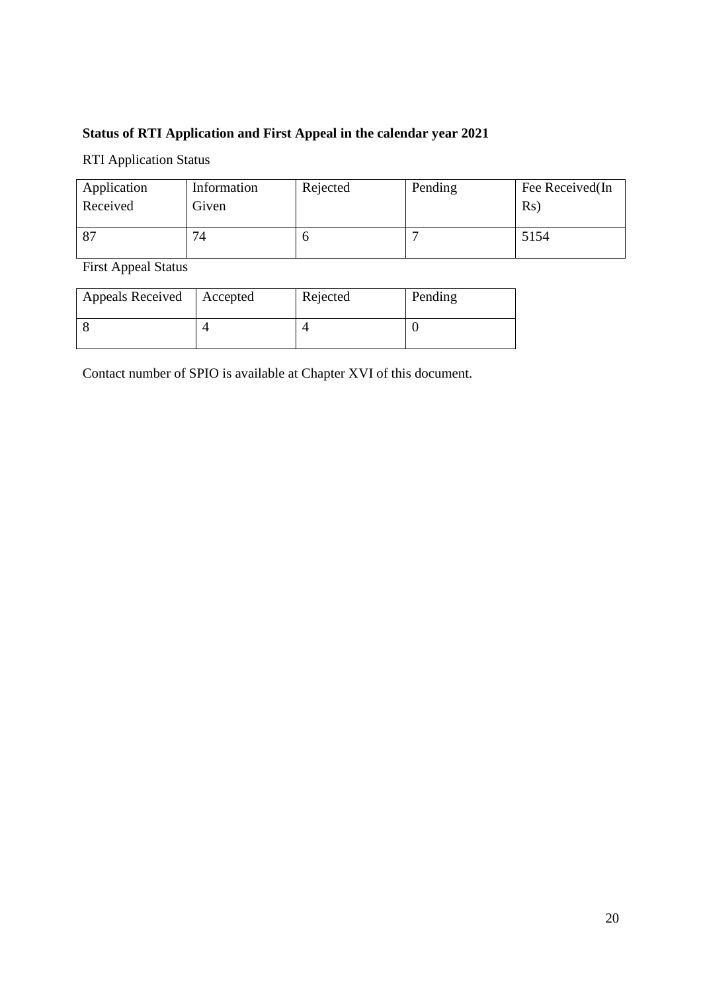### **Status of RTI Application and First Appeal in the calendar year 2021**

#### RTI Application Status

| Application<br>Received | Information<br>Given | Rejected | Pending | Fee Received(In<br>$\rm{Rs})$ |
|-------------------------|----------------------|----------|---------|-------------------------------|
| 87                      | 74                   |          |         | 5154                          |

First Appeal Status

| Appeals Received | Accepted | Rejected | Pending |
|------------------|----------|----------|---------|
|                  |          |          |         |

Contact number of SPIO is available at Chapter XVI of this document.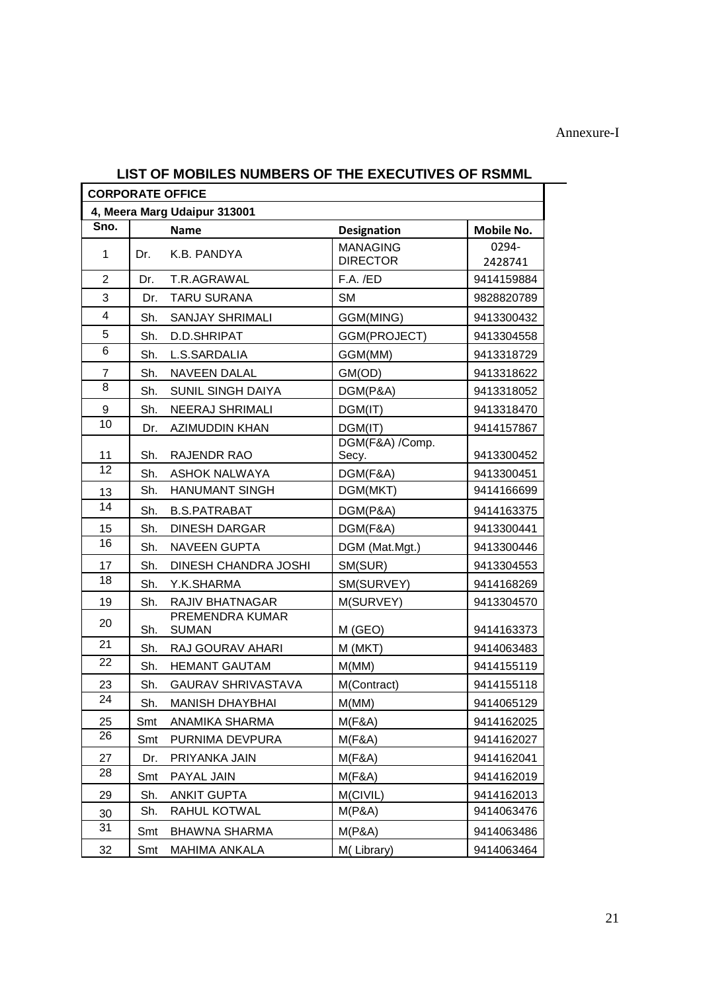#### Annexure-I

| <b>CORPORATE OFFICE</b>      |     |                                 |                                    |                  |  |  |
|------------------------------|-----|---------------------------------|------------------------------------|------------------|--|--|
| 4, Meera Marg Udaipur 313001 |     |                                 |                                    |                  |  |  |
| Sno.                         |     | <b>Name</b>                     | <b>Designation</b>                 | Mobile No.       |  |  |
| 1                            | Dr. | K.B. PANDYA                     | <b>MANAGING</b><br><b>DIRECTOR</b> | 0294-<br>2428741 |  |  |
| $\overline{2}$               | Dr. | T.R.AGRAWAL                     | F.A. /ED                           | 9414159884       |  |  |
| 3                            | Dr. | <b>TARU SURANA</b>              | <b>SM</b>                          | 9828820789       |  |  |
| 4                            | Sh. | <b>SANJAY SHRIMALI</b>          | GGM(MING)                          | 9413300432       |  |  |
| 5                            | Sh. | D.D.SHRIPAT                     | GGM(PROJECT)                       | 9413304558       |  |  |
| 6                            | Sh. | L.S.SARDALIA                    | GGM(MM)                            | 9413318729       |  |  |
| $\overline{7}$               | Sh. | <b>NAVEEN DALAL</b>             | GM(OD)                             | 9413318622       |  |  |
| 8                            | Sh. | <b>SUNIL SINGH DAIYA</b>        | DGM(P&A)                           | 9413318052       |  |  |
| 9                            | Sh. | NEERAJ SHRIMALI                 | DGM(IT)                            | 9413318470       |  |  |
| 10                           | Dr. | AZIMUDDIN KHAN                  | DGM(IT)                            | 9414157867       |  |  |
| 11                           | Sh. | RAJENDR RAO                     | DGM(F&A) /Comp.<br>Secy.           | 9413300452       |  |  |
| 12                           | Sh. | <b>ASHOK NALWAYA</b>            | DGM(F&A)                           | 9413300451       |  |  |
| 13                           | Sh. | HANUMANT SINGH                  | DGM(MKT)                           | 9414166699       |  |  |
| 14                           | Sh. | <b>B.S.PATRABAT</b>             | DGM(P&A)                           | 9414163375       |  |  |
| 15                           | Sh. | <b>DINESH DARGAR</b>            | DGM(F&A)                           | 9413300441       |  |  |
| 16                           | Sh. | <b>NAVEEN GUPTA</b>             | DGM (Mat.Mgt.)                     | 9413300446       |  |  |
| 17                           | Sh. | DINESH CHANDRA JOSHI            | SM(SUR)                            | 9413304553       |  |  |
| 18                           | Sh. | Y.K.SHARMA                      | SM(SURVEY)                         | 9414168269       |  |  |
| 19                           | Sh. | RAJIV BHATNAGAR                 | M(SURVEY)                          | 9413304570       |  |  |
| 20                           | Sh. | PREMENDRA KUMAR<br><b>SUMAN</b> | M (GEO)                            | 9414163373       |  |  |
| 21                           | Sh. | RAJ GOURAV AHARI                | M (MKT)                            | 9414063483       |  |  |
| 22                           | Sh. | <b>HEMANT GAUTAM</b>            | M(MM)                              | 9414155119       |  |  |
| 23                           | Sh. | <b>GAURAV SHRIVASTAVA</b>       | M(Contract)                        | 9414155118       |  |  |
| 24                           | Sh. | <b>MANISH DHAYBHAI</b>          | M(MM)                              | 9414065129       |  |  |
| 25                           | Smt | ANAMIKA SHARMA                  | M(F&A)                             | 9414162025       |  |  |
| 26                           | Smt | PURNIMA DEVPURA                 | M(F&A)                             | 9414162027       |  |  |
| 27                           | Dr. | PRIYANKA JAIN                   | M(F&A)                             | 9414162041       |  |  |
| 28                           | Smt | PAYAL JAIN                      | M(F&A)                             | 9414162019       |  |  |
| 29                           | Sh. | <b>ANKIT GUPTA</b>              | M(CIVIL)                           | 9414162013       |  |  |
| 30                           | Sh. | RAHUL KOTWAL                    | M(P&A)                             | 9414063476       |  |  |
| 31                           | Smt | <b>BHAWNA SHARMA</b>            | M(P&A)                             | 9414063486       |  |  |
| 32                           | Smt | MAHIMA ANKALA                   | M(Library)                         | 9414063464       |  |  |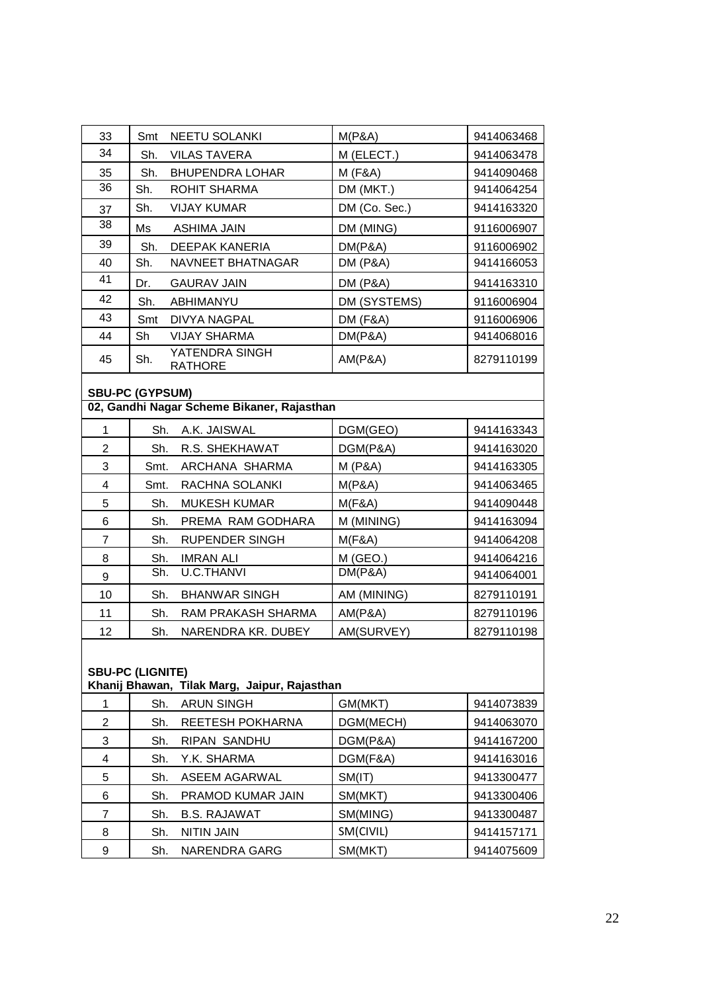| 33                                           | Smt<br><b>NEETU SOLANKI</b>                | M(P&A)              | 9414063468 |  |  |  |
|----------------------------------------------|--------------------------------------------|---------------------|------------|--|--|--|
| 34                                           | Sh.<br><b>VILAS TAVERA</b>                 | M (ELECT.)          | 9414063478 |  |  |  |
| 35                                           | Sh.<br><b>BHUPENDRA LOHAR</b>              | $M$ (F&A)           | 9414090468 |  |  |  |
| 36                                           | Sh.<br><b>ROHIT SHARMA</b>                 | DM (MKT.)           | 9414064254 |  |  |  |
| 37                                           | Sh.<br><b>VIJAY KUMAR</b>                  | DM (Co. Sec.)       | 9414163320 |  |  |  |
| 38                                           | Ms<br><b>ASHIMA JAIN</b>                   | DM (MING)           | 9116006907 |  |  |  |
| 39                                           | Sh.<br><b>DEEPAK KANERIA</b>               | DM(P&A)             | 9116006902 |  |  |  |
| 40                                           | Sh.<br>NAVNEET BHATNAGAR                   | <b>DM (P&amp;A)</b> | 9414166053 |  |  |  |
| 41                                           | Dr.<br><b>GAURAV JAIN</b>                  | <b>DM (P&amp;A)</b> | 9414163310 |  |  |  |
| 42                                           | Sh.<br>ABHIMANYU                           | DM (SYSTEMS)        | 9116006904 |  |  |  |
| 43                                           | Smt<br><b>DIVYA NAGPAL</b>                 | <b>DM (F&amp;A)</b> | 9116006906 |  |  |  |
| 44                                           | Sh<br><b>VIJAY SHARMA</b>                  | DM(P&A)             | 9414068016 |  |  |  |
| 45                                           | YATENDRA SINGH<br>Sh.<br><b>RATHORE</b>    | AM(P&A)             | 8279110199 |  |  |  |
|                                              | <b>SBU-PC (GYPSUM)</b>                     |                     |            |  |  |  |
|                                              | 02, Gandhi Nagar Scheme Bikaner, Rajasthan |                     |            |  |  |  |
| 1                                            | Sh.<br>A.K. JAISWAL                        | DGM(GEO)            | 9414163343 |  |  |  |
| $\overline{c}$                               | Sh.<br>R.S. SHEKHAWAT                      | DGM(P&A)            | 9414163020 |  |  |  |
| 3                                            | ARCHANA SHARMA<br>Smt.                     | M (P&A)             | 9414163305 |  |  |  |
| 4                                            | Smt.<br>RACHNA SOLANKI                     | M(P&A)              | 9414063465 |  |  |  |
| 5                                            | Sh.<br><b>MUKESH KUMAR</b>                 | M(F&A)              | 9414090448 |  |  |  |
| 6                                            | Sh.<br>PREMA RAM GODHARA                   | M (MINING)          | 9414163094 |  |  |  |
| $\overline{7}$                               | Sh.<br><b>RUPENDER SINGH</b>               | M(F&A)              | 9414064208 |  |  |  |
| 8                                            | Sh.<br><b>IMRAN ALI</b>                    | M (GEO.)            | 9414064216 |  |  |  |
| 9                                            | U.C.THANVI<br>Sh.                          | DM(P&A)             | 9414064001 |  |  |  |
| 10                                           | Sh.<br><b>BHANWAR SINGH</b>                | AM (MINING)         | 8279110191 |  |  |  |
| 11                                           | Sh.<br>RAM PRAKASH SHARMA                  | AM(P&A)             | 8279110196 |  |  |  |
| 12                                           | Sh.<br>NARENDRA KR. DUBEY                  | AM(SURVEY)          | 8279110198 |  |  |  |
|                                              |                                            |                     |            |  |  |  |
| <b>SBU-PC (LIGNITE)</b>                      |                                            |                     |            |  |  |  |
| Khanij Bhawan, Tilak Marg, Jaipur, Rajasthan |                                            |                     |            |  |  |  |
| 1                                            | Sh.<br><b>ARUN SINGH</b>                   | GM(MKT)             | 9414073839 |  |  |  |
| $\overline{2}$                               | Sh.<br>REETESH POKHARNA                    | DGM(MECH)           | 9414063070 |  |  |  |
| 3                                            | Sh.<br>RIPAN SANDHU                        | DGM(P&A)            | 9414167200 |  |  |  |
| 4                                            | Sh.<br>Y.K. SHARMA                         | DGM(F&A)            | 9414163016 |  |  |  |
| 5                                            | Sh.<br>ASEEM AGARWAL                       | SM(IT)              | 9413300477 |  |  |  |
| 6                                            | Sh.<br>PRAMOD KUMAR JAIN                   | SM(MKT)             | 9413300406 |  |  |  |
| 7                                            | Sh.<br><b>B.S. RAJAWAT</b>                 | SM(MING)            | 9413300487 |  |  |  |
| 8                                            | Sh.<br><b>NITIN JAIN</b>                   | SM(CIVIL)           | 9414157171 |  |  |  |
| 9                                            | Sh.<br>NARENDRA GARG                       | SM(MKT)             | 9414075609 |  |  |  |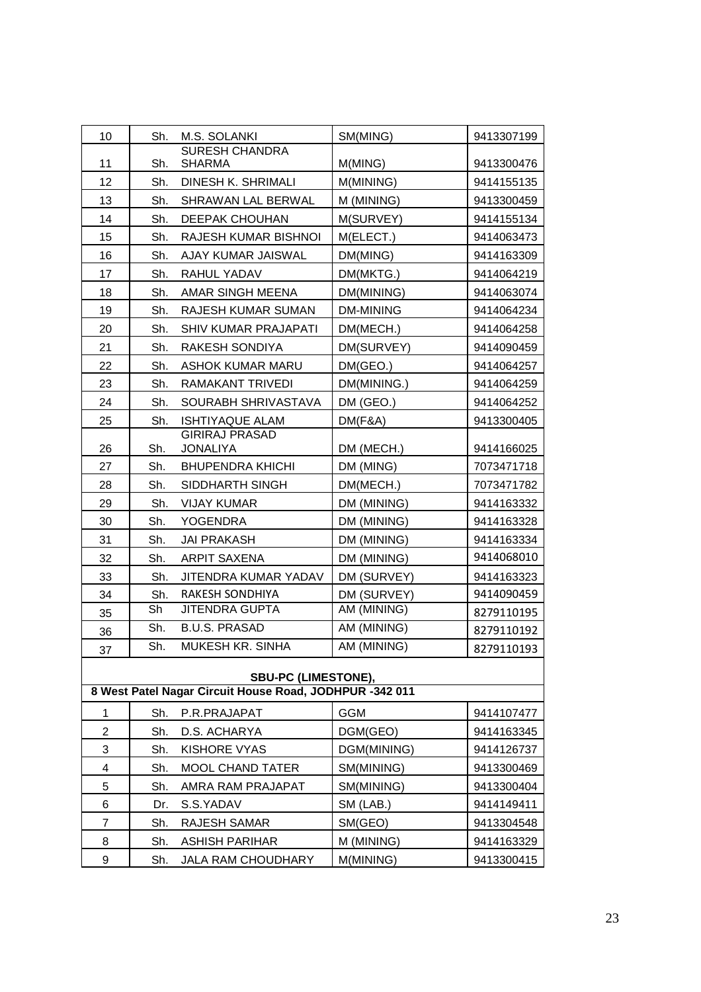| 10                                                      | Sh. | <b>M.S. SOLANKI</b>                      | SM(MING)         | 9413307199 |  |
|---------------------------------------------------------|-----|------------------------------------------|------------------|------------|--|
| 11                                                      | Sh. | <b>SURESH CHANDRA</b><br><b>SHARMA</b>   | M(MING)          | 9413300476 |  |
| 12                                                      | Sh. | DINESH K. SHRIMALI                       | M(MINING)        | 9414155135 |  |
| 13                                                      | Sh. | SHRAWAN LAL BERWAL                       | M (MINING)       | 9413300459 |  |
| 14                                                      | Sh. | DEEPAK CHOUHAN                           | M(SURVEY)        | 9414155134 |  |
| 15                                                      | Sh. | RAJESH KUMAR BISHNOI                     | M(ELECT.)        | 9414063473 |  |
| 16                                                      | Sh. | AJAY KUMAR JAISWAL                       | DM(MING)         | 9414163309 |  |
| 17                                                      | Sh. | RAHUL YADAV                              | DM(MKTG.)        | 9414064219 |  |
| 18                                                      | Sh. | AMAR SINGH MEENA                         | DM(MINING)       | 9414063074 |  |
| 19                                                      | Sh. | RAJESH KUMAR SUMAN                       | <b>DM-MINING</b> | 9414064234 |  |
| 20                                                      | Sh. | <b>SHIV KUMAR PRAJAPATI</b>              | DM(MECH.)        | 9414064258 |  |
| 21                                                      | Sh. | RAKESH SONDIYA                           | DM(SURVEY)       | 9414090459 |  |
| 22                                                      | Sh. | <b>ASHOK KUMAR MARU</b>                  | DM(GEO.)         | 9414064257 |  |
| 23                                                      | Sh. | RAMAKANT TRIVEDI                         | DM(MINING.)      | 9414064259 |  |
| 24                                                      | Sh. | SOURABH SHRIVASTAVA                      | DM (GEO.)        | 9414064252 |  |
| 25                                                      | Sh. | <b>ISHTIYAQUE ALAM</b>                   | DM(F&A)          | 9413300405 |  |
| 26                                                      | Sh. | <b>GIRIRAJ PRASAD</b><br><b>JONALIYA</b> | DM (MECH.)       | 9414166025 |  |
| 27                                                      | Sh. | <b>BHUPENDRA KHICHI</b>                  | DM (MING)        | 7073471718 |  |
| 28                                                      | Sh. | SIDDHARTH SINGH                          | DM(MECH.)        | 7073471782 |  |
| 29                                                      | Sh. | <b>VIJAY KUMAR</b>                       | DM (MINING)      | 9414163332 |  |
| 30                                                      | Sh. | <b>YOGENDRA</b>                          | DM (MINING)      | 9414163328 |  |
| 31                                                      | Sh. | <b>JAI PRAKASH</b>                       | DM (MINING)      | 9414163334 |  |
| 32                                                      | Sh. | <b>ARPIT SAXENA</b>                      | DM (MINING)      | 9414068010 |  |
| 33                                                      | Sh. | JITENDRA KUMAR YADAV                     | DM (SURVEY)      | 9414163323 |  |
| 34                                                      | Sh. | <b>RAKESH SONDHIYA</b>                   | DM (SURVEY)      | 9414090459 |  |
| 35                                                      | Sh  | <b>JITENDRA GUPTA</b>                    | AM (MINING)      | 8279110195 |  |
| 36                                                      | Sh. | <b>B.U.S. PRASAD</b>                     | AM (MINING)      | 8279110192 |  |
| 37                                                      | Sh. | <b>MUKESH KR. SINHA</b>                  | AM (MINING)      | 8279110193 |  |
| <b>SBU-PC (LIMESTONE),</b>                              |     |                                          |                  |            |  |
| 8 West Patel Nagar Circuit House Road, JODHPUR -342 011 |     |                                          |                  |            |  |
| 1                                                       | Sh. | P.R.PRAJAPAT                             | <b>GGM</b>       | 9414107477 |  |
| 2                                                       | Sh. | D.S. ACHARYA                             | DGM(GEO)         | 9414163345 |  |
| 3                                                       | Sh. | KISHORE VYAS                             | DGM(MINING)      | 9414126737 |  |
| $\overline{\mathbf{4}}$                                 | Sh. | <b>MOOL CHAND TATER</b>                  | SM(MINING)       | 9413300469 |  |
| 5                                                       | Sh. | AMRA RAM PRAJAPAT                        | SM(MINING)       | 9413300404 |  |
| 6                                                       | Dr. | S.S.YADAV                                | SM (LAB.)        | 9414149411 |  |
| 7                                                       | Sh. | <b>RAJESH SAMAR</b>                      | SM(GEO)          | 9413304548 |  |
| 8                                                       | Sh. | <b>ASHISH PARIHAR</b>                    | M (MINING)       | 9414163329 |  |
| 9                                                       | Sh. | <b>JALA RAM CHOUDHARY</b>                | M(MINING)        | 9413300415 |  |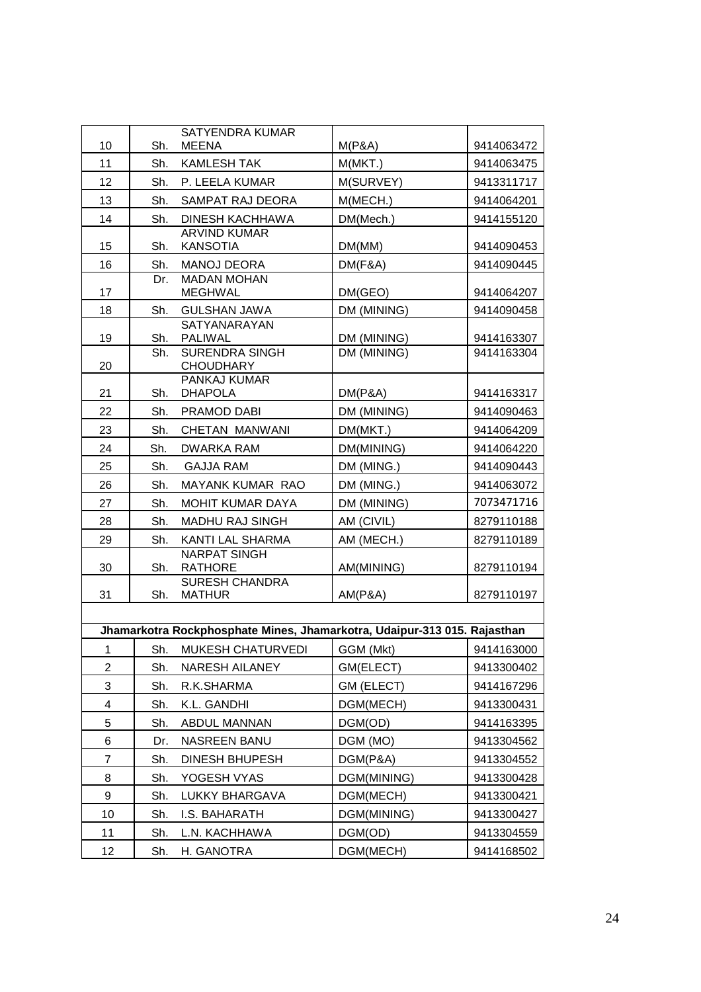|              |     | <b>SATYENDRA KUMAR</b>                                                   |             |            |  |  |
|--------------|-----|--------------------------------------------------------------------------|-------------|------------|--|--|
| 10           | Sh. | <b>MEENA</b>                                                             | M(P&A)      | 9414063472 |  |  |
| 11           | Sh. | <b>KAMLESH TAK</b>                                                       | M(MKT.)     | 9414063475 |  |  |
| 12           | Sh. | P. LEELA KUMAR                                                           | M(SURVEY)   | 9413311717 |  |  |
| 13           | Sh. | SAMPAT RAJ DEORA                                                         | M(MECH.)    | 9414064201 |  |  |
| 14           | Sh. | <b>DINESH KACHHAWA</b>                                                   | DM(Mech.)   | 9414155120 |  |  |
| 15           | Sh. | <b>ARVIND KUMAR</b><br><b>KANSOTIA</b>                                   | DM(MM)      | 9414090453 |  |  |
| 16           | Sh. | <b>MANOJ DEORA</b>                                                       | DM(F&A)     | 9414090445 |  |  |
| 17           | Dr. | <b>MADAN MOHAN</b><br><b>MEGHWAL</b>                                     | DM(GEO)     | 9414064207 |  |  |
| 18           | Sh. | <b>GULSHAN JAWA</b>                                                      | DM (MINING) | 9414090458 |  |  |
| 19           | Sh. | <b>SATYANARAYAN</b><br><b>PALIWAL</b>                                    | DM (MINING) | 9414163307 |  |  |
| 20           | Sh. | <b>SURENDRA SINGH</b><br><b>CHOUDHARY</b>                                | DM (MINING) | 9414163304 |  |  |
| 21           | Sh. | PANKAJ KUMAR<br><b>DHAPOLA</b>                                           | DM(P&A)     | 9414163317 |  |  |
| 22           | Sh. | PRAMOD DABI                                                              | DM (MINING) | 9414090463 |  |  |
| 23           | Sh. | CHETAN MANWANI                                                           | DM(MKT.)    | 9414064209 |  |  |
| 24           | Sh. | <b>DWARKA RAM</b>                                                        | DM(MINING)  | 9414064220 |  |  |
| 25           | Sh. | <b>GAJJA RAM</b>                                                         | DM (MING.)  | 9414090443 |  |  |
| 26           | Sh. | MAYANK KUMAR RAO                                                         | DM (MING.)  | 9414063072 |  |  |
| 27           | Sh. | <b>MOHIT KUMAR DAYA</b>                                                  | DM (MINING) | 7073471716 |  |  |
| 28           | Sh. | <b>MADHU RAJ SINGH</b>                                                   | AM (CIVIL)  | 8279110188 |  |  |
| 29           | Sh. | KANTI LAL SHARMA                                                         | AM (MECH.)  | 8279110189 |  |  |
| 30           | Sh. | <b>NARPAT SINGH</b><br><b>RATHORE</b>                                    | AM(MINING)  | 8279110194 |  |  |
| 31           | Sh. | <b>SURESH CHANDRA</b><br><b>MATHUR</b>                                   | AM(P&A)     | 8279110197 |  |  |
|              |     |                                                                          |             |            |  |  |
|              |     | Jhamarkotra Rockphosphate Mines, Jhamarkotra, Udaipur-313 015. Rajasthan |             |            |  |  |
| $\mathbf{1}$ |     | Sh. MUKESH CHATURVEDI                                                    | GGM (Mkt)   | 9414163000 |  |  |
| 2            | Sh. | NARESH AILANEY                                                           | GM(ELECT)   | 9413300402 |  |  |
| 3            | Sh. | R.K.SHARMA                                                               | GM (ELECT)  | 9414167296 |  |  |
| 4            | Sh. | K.L. GANDHI                                                              | DGM(MECH)   | 9413300431 |  |  |
| 5            | Sh. | <b>ABDUL MANNAN</b>                                                      | DGM(OD)     | 9414163395 |  |  |
| 6            | Dr. | <b>NASREEN BANU</b>                                                      | DGM (MO)    | 9413304562 |  |  |
| 7            | Sh. | <b>DINESH BHUPESH</b>                                                    | DGM(P&A)    | 9413304552 |  |  |
| 8            | Sh. | YOGESH VYAS                                                              | DGM(MINING) | 9413300428 |  |  |
| 9            | Sh. | <b>LUKKY BHARGAVA</b>                                                    | DGM(MECH)   | 9413300421 |  |  |
| 10           | Sh. | I.S. BAHARATH                                                            | DGM(MINING) | 9413300427 |  |  |
| 11           | Sh. | L.N. KACHHAWA                                                            | DGM(OD)     | 9413304559 |  |  |
| 12           | Sh. | H. GANOTRA                                                               | DGM(MECH)   | 9414168502 |  |  |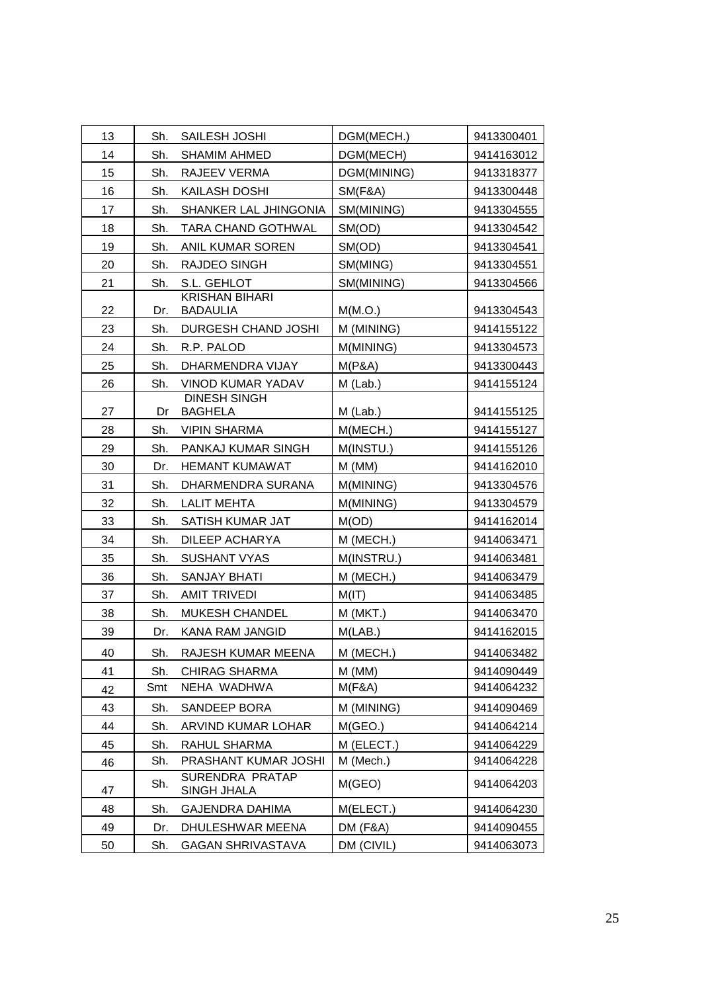| 13 | Sh.        | SAILESH JOSHI                            | DGM(MECH.)          | 9413300401 |
|----|------------|------------------------------------------|---------------------|------------|
| 14 | Sh.        | <b>SHAMIM AHMED</b>                      | DGM(MECH)           | 9414163012 |
| 15 | Sh.        | RAJEEV VERMA                             | DGM(MINING)         | 9413318377 |
| 16 | Sh.        | KAILASH DOSHI                            | <b>SM(F&amp;A)</b>  | 9413300448 |
| 17 | Sh.        | SHANKER LAL JHINGONIA                    | SM(MINING)          | 9413304555 |
| 18 | Sh.        | TARA CHAND GOTHWAL                       | SM(OD)              | 9413304542 |
| 19 | Sh.        | ANIL KUMAR SOREN                         | SM(OD)              | 9413304541 |
| 20 | Sh.        | <b>RAJDEO SINGH</b>                      | SM(MING)            | 9413304551 |
| 21 | Sh.        | S.L. GEHLOT                              | SM(MINING)          | 9413304566 |
| 22 |            | <b>KRISHAN BIHARI</b>                    |                     |            |
| 23 | Dr.<br>Sh. | <b>BADAULIA</b>                          | M(M.O.)             | 9413304543 |
|    | Sh.        | DURGESH CHAND JOSHI                      | M (MINING)          | 9414155122 |
| 24 | Sh.        | R.P. PALOD                               | M(MINING)           | 9413304573 |
| 25 |            | DHARMENDRA VIJAY                         | M(P&A)              | 9413300443 |
| 26 | Sh.        | VINOD KUMAR YADAV<br><b>DINESH SINGH</b> | $M$ (Lab.)          | 9414155124 |
| 27 | Dr         | <b>BAGHELA</b>                           | $M$ (Lab.)          | 9414155125 |
| 28 | Sh.        | <b>VIPIN SHARMA</b>                      | M(MECH.)            | 9414155127 |
| 29 | Sh.        | PANKAJ KUMAR SINGH                       | M(INSTU.)           | 9414155126 |
| 30 | Dr.        | <b>HEMANT KUMAWAT</b>                    | $M$ (MM)            | 9414162010 |
| 31 | Sh.        | DHARMENDRA SURANA                        | M(MINING)           | 9413304576 |
| 32 | Sh.        | <b>LALIT MEHTA</b>                       | M(MINING)           | 9413304579 |
| 33 | Sh.        | SATISH KUMAR JAT                         | M(OD)               | 9414162014 |
| 34 | Sh.        | <b>DILEEP ACHARYA</b>                    | M (MECH.)           | 9414063471 |
| 35 | Sh.        | <b>SUSHANT VYAS</b>                      | M(INSTRU.)          | 9414063481 |
| 36 | Sh.        | <b>SANJAY BHATI</b>                      | M (MECH.)           | 9414063479 |
| 37 | Sh.        | <b>AMIT TRIVEDI</b>                      | M(IT)               | 9414063485 |
| 38 | Sh.        | MUKESH CHANDEL                           | M (MKT.)            | 9414063470 |
| 39 | Dr.        | KANA RAM JANGID                          | M(LAB.)             | 9414162015 |
| 40 | Sh.        | RAJESH KUMAR MEENA                       | M (MECH.)           | 9414063482 |
| 41 | Sh.        | <b>CHIRAG SHARMA</b>                     | $M$ (MM)            | 9414090449 |
| 42 | Smt        | NEHA WADHWA                              | M(F&A)              | 9414064232 |
| 43 | Sh.        | SANDEEP BORA                             | M (MINING)          | 9414090469 |
| 44 | Sh.        | ARVIND KUMAR LOHAR                       | M(GEO.)             | 9414064214 |
| 45 | Sh.        | RAHUL SHARMA                             | M (ELECT.)          | 9414064229 |
| 46 | Sh.        | PRASHANT KUMAR JOSHI                     | M (Mech.)           | 9414064228 |
| 47 | Sh.        | SURENDRA PRATAP<br>SINGH JHALA           | M(GEO)              | 9414064203 |
| 48 | Sh.        | GAJENDRA DAHIMA                          | M(ELECT.)           | 9414064230 |
| 49 | Dr.        | DHULESHWAR MEENA                         | <b>DM (F&amp;A)</b> | 9414090455 |
| 50 | Sh.        | <b>GAGAN SHRIVASTAVA</b>                 | DM (CIVIL)          | 9414063073 |